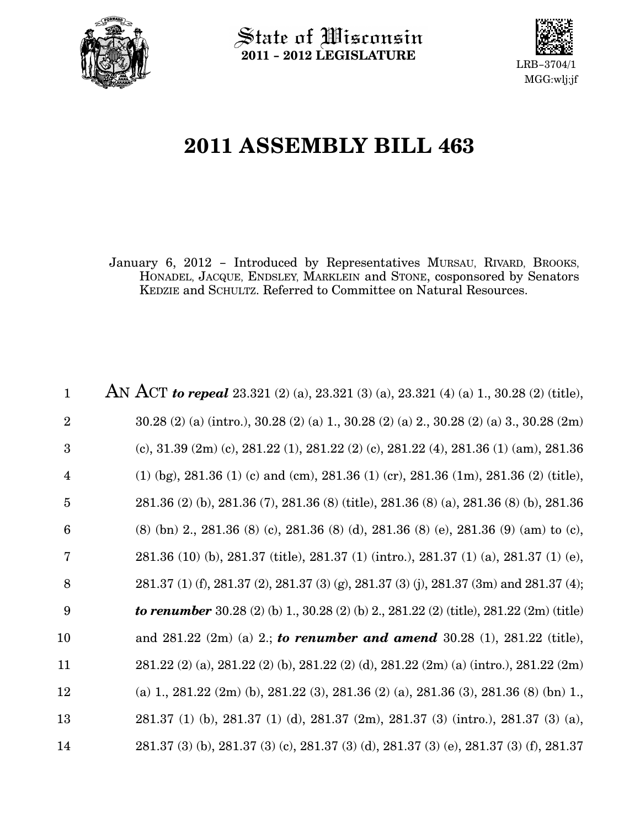

 $\operatorname{\mathsf{State}}$  of Wisconsin 2011 − 2012 LEGISLATURE



# 2011 ASSEMBLY BILL 463

January 6, 2012 − Introduced by Representatives MURSAU, RIVARD, BROOKS, HONADEL, JACQUE, ENDSLEY, MARKLEIN and STONE, cosponsored by Senators KEDZIE and SCHULTZ. Referred to Committee on Natural Resources.

AN ACT to repeal 23.321 (2) (a), 23.321 (3) (a), 23.321 (4) (a) 1., 30.28 (2) (title), 30.28 (2) (a) (intro.), 30.28 (2) (a) 1., 30.28 (2) (a) 2., 30.28 (2) (a) 3., 30.28 (2m) (c), 31.39 (2m) (c), 281.22 (1), 281.22 (2) (c), 281.22 (4), 281.36 (1) (am), 281.36 (1) (bg), 281.36 (1) (c) and (cm), 281.36 (1) (cr), 281.36 (1m), 281.36 (2) (title), 281.36 (2) (b), 281.36 (7), 281.36 (8) (title), 281.36 (8) (a), 281.36 (8) (b), 281.36 (8) (bn) 2., 281.36 (8) (c), 281.36 (8) (d), 281.36 (8) (e), 281.36 (9) (am) to (c), 281.36 (10) (b), 281.37 (title), 281.37 (1) (intro.), 281.37 (1) (a), 281.37 (1) (e), 281.37 (1) (f), 281.37 (2), 281.37 (3) (g), 281.37 (3) (j), 281.37 (3m) and 281.37 (4); to renumber 30.28 (2) (b) 1., 30.28 (2) (b) 2., 281.22 (2) (title), 281.22 (2m) (title) and  $281.22$  (2m) (a) 2.; to renumber and amend  $30.28$  (1),  $281.22$  (title), 281.22 (2) (a), 281.22 (2) (b), 281.22 (2) (d), 281.22 (2m) (a) (intro.), 281.22 (2m) (a) 1., 281.22 (2m) (b), 281.22 (3), 281.36 (2) (a), 281.36 (3), 281.36 (8) (bn) 1., 281.37 (1) (b), 281.37 (1) (d), 281.37 (2m), 281.37 (3) (intro.), 281.37 (3) (a), 281.37 (3) (b), 281.37 (3) (c), 281.37 (3) (d), 281.37 (3) (e), 281.37 (3) (f), 281.37 1 2 3 4 5 6 7 8 9 10 11 12 13 14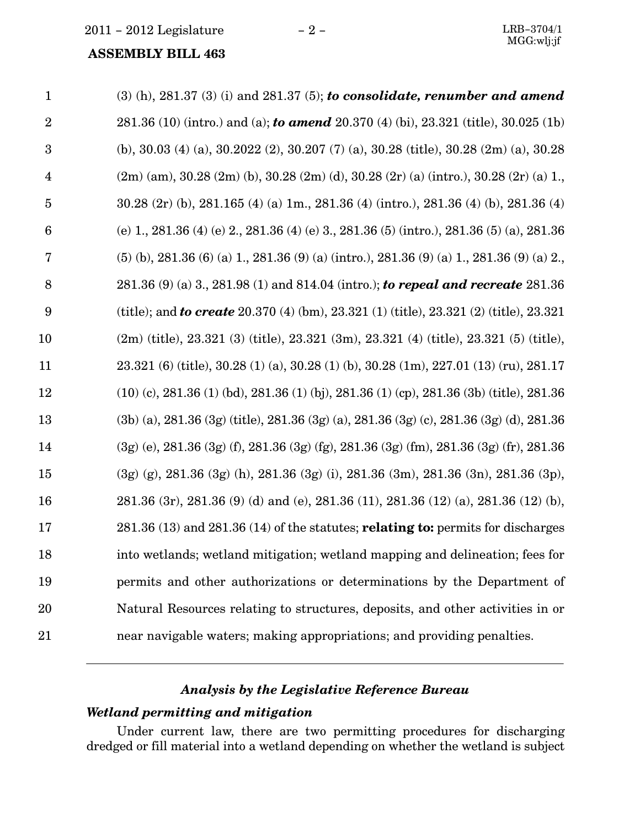| $\mathbf{1}$     | $(3)$ (h), 281.37 (3) (i) and 281.37 (5); to consolidate, renumber and amend                  |
|------------------|-----------------------------------------------------------------------------------------------|
| $\overline{2}$   | 281.36 (10) (intro.) and (a); to amend 20.370 (4) (bi), 23.321 (title), 30.025 (1b)           |
| 3                | (b), 30.03 (4) (a), 30.2022 (2), 30.207 (7) (a), 30.28 (title), 30.28 (2m) (a), 30.28         |
| $\overline{4}$   | $(2m)$ (am), 30.28 (2m) (b), 30.28 (2m) (d), 30.28 (2r) (a) (intro.), 30.28 (2r) (a) 1.       |
| $\overline{5}$   | 30.28 (2r) (b), 281.165 (4) (a) 1m., 281.36 (4) (intro.), 281.36 (4) (b), 281.36 (4)          |
| $\boldsymbol{6}$ | (e) 1, 281.36 (4) (e) 2, 281.36 (4) (e) 3, 281.36 (5) (intro.), 281.36 (5) (a), 281.36        |
| 7                | $(5)$ (b), 281.36 (6) (a) 1, 281.36 (9) (a) (intro.), 281.36 (9) (a) 1, 281.36 (9) (a) 2,     |
| 8                | 281.36 (9) (a) 3., 281.98 (1) and 814.04 (intro.); to repeal and recreate 281.36              |
| 9                | (title); and <b>to create</b> 20.370 (4) (bm), 23.321 (1) (title), 23.321 (2) (title), 23.321 |
| 10               | $(2m)$ (title), 23.321 (3) (title), 23.321 (3m), 23.321 (4) (title), 23.321 (5) (title),      |
| 11               | 23.321 (6) (title), 30.28 (1) (a), 30.28 (1) (b), 30.28 (1m), 227.01 (13) (ru), 281.17        |
| 12               | $(10)$ (c), 281.36 (1) (bd), 281.36 (1) (bj), 281.36 (1) (cp), 281.36 (3b) (title), 281.36    |
| 13               | $(3b)$ (a), 281.36 (3g) (title), 281.36 (3g) (a), 281.36 (3g) (c), 281.36 (3g) (d), 281.36    |
| 14               | $(3g)$ (e), 281.36 (3g) (f), 281.36 (3g) (fg), 281.36 (3g) (fm), 281.36 (3g) (fr), 281.36     |
| 15               | (3g) (g), 281.36 (3g) (h), 281.36 (3g) (i), 281.36 (3m), 281.36 (3n), 281.36 (3p),            |
| 16               | 281.36 (3r), 281.36 (9) (d) and (e), 281.36 (11), 281.36 (12) (a), 281.36 (12) (b),           |
| 17               | $281.36(13)$ and $281.36(14)$ of the statutes; <b>relating to:</b> permits for discharges     |
| 18               | into wetlands; wetland mitigation; wetland mapping and delineation; fees for                  |
| 19               | permits and other authorizations or determinations by the Department of                       |
| 20               | Natural Resources relating to structures, deposits, and other activities in or                |
| 21               | near navigable waters; making appropriations; and providing penalties.                        |
|                  |                                                                                               |

### Analysis by the Legislative Reference Bureau

#### Wetland permitting and mitigation

Under current law, there are two permitting procedures for discharging dredged or fill material into a wetland depending on whether the wetland is subject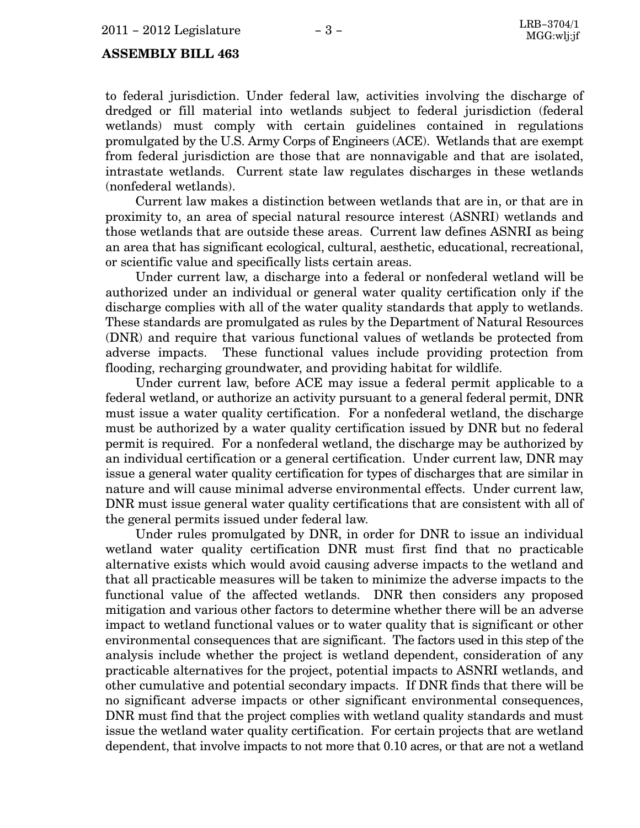to federal jurisdiction. Under federal law, activities involving the discharge of dredged or fill material into wetlands subject to federal jurisdiction (federal wetlands) must comply with certain guidelines contained in regulations promulgated by the U.S. Army Corps of Engineers (ACE). Wetlands that are exempt from federal jurisdiction are those that are nonnavigable and that are isolated, intrastate wetlands. Current state law regulates discharges in these wetlands (nonfederal wetlands).

Current law makes a distinction between wetlands that are in, or that are in proximity to, an area of special natural resource interest (ASNRI) wetlands and those wetlands that are outside these areas. Current law defines ASNRI as being an area that has significant ecological, cultural, aesthetic, educational, recreational, or scientific value and specifically lists certain areas.

Under current law, a discharge into a federal or nonfederal wetland will be authorized under an individual or general water quality certification only if the discharge complies with all of the water quality standards that apply to wetlands. These standards are promulgated as rules by the Department of Natural Resources (DNR) and require that various functional values of wetlands be protected from adverse impacts. These functional values include providing protection from flooding, recharging groundwater, and providing habitat for wildlife.

Under current law, before ACE may issue a federal permit applicable to a federal wetland, or authorize an activity pursuant to a general federal permit, DNR must issue a water quality certification. For a nonfederal wetland, the discharge must be authorized by a water quality certification issued by DNR but no federal permit is required. For a nonfederal wetland, the discharge may be authorized by an individual certification or a general certification. Under current law, DNR may issue a general water quality certification for types of discharges that are similar in nature and will cause minimal adverse environmental effects. Under current law, DNR must issue general water quality certifications that are consistent with all of the general permits issued under federal law.

Under rules promulgated by DNR, in order for DNR to issue an individual wetland water quality certification DNR must first find that no practicable alternative exists which would avoid causing adverse impacts to the wetland and that all practicable measures will be taken to minimize the adverse impacts to the functional value of the affected wetlands. DNR then considers any proposed mitigation and various other factors to determine whether there will be an adverse impact to wetland functional values or to water quality that is significant or other environmental consequences that are significant. The factors used in this step of the analysis include whether the project is wetland dependent, consideration of any practicable alternatives for the project, potential impacts to ASNRI wetlands, and other cumulative and potential secondary impacts. If DNR finds that there will be no significant adverse impacts or other significant environmental consequences, DNR must find that the project complies with wetland quality standards and must issue the wetland water quality certification. For certain projects that are wetland dependent, that involve impacts to not more that 0.10 acres, or that are not a wetland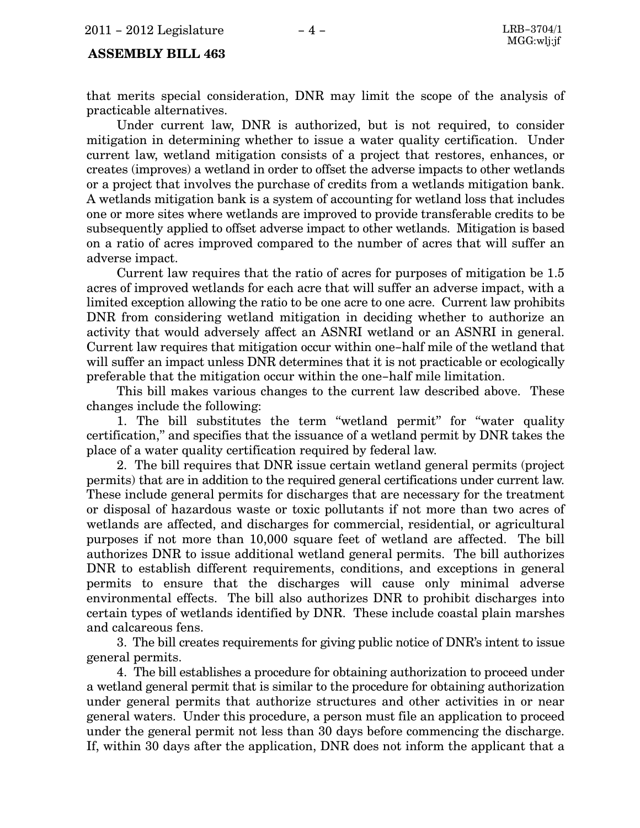that merits special consideration, DNR may limit the scope of the analysis of practicable alternatives.

Under current law, DNR is authorized, but is not required, to consider mitigation in determining whether to issue a water quality certification. Under current law, wetland mitigation consists of a project that restores, enhances, or creates (improves) a wetland in order to offset the adverse impacts to other wetlands or a project that involves the purchase of credits from a wetlands mitigation bank. A wetlands mitigation bank is a system of accounting for wetland loss that includes one or more sites where wetlands are improved to provide transferable credits to be subsequently applied to offset adverse impact to other wetlands. Mitigation is based on a ratio of acres improved compared to the number of acres that will suffer an adverse impact.

Current law requires that the ratio of acres for purposes of mitigation be 1.5 acres of improved wetlands for each acre that will suffer an adverse impact, with a limited exception allowing the ratio to be one acre to one acre. Current law prohibits DNR from considering wetland mitigation in deciding whether to authorize an activity that would adversely affect an ASNRI wetland or an ASNRI in general. Current law requires that mitigation occur within one−half mile of the wetland that will suffer an impact unless DNR determines that it is not practicable or ecologically preferable that the mitigation occur within the one−half mile limitation.

This bill makes various changes to the current law described above. These changes include the following:

1. The bill substitutes the term "wetland permit" for "water quality certification," and specifies that the issuance of a wetland permit by DNR takes the place of a water quality certification required by federal law.

2. The bill requires that DNR issue certain wetland general permits (project permits) that are in addition to the required general certifications under current law. These include general permits for discharges that are necessary for the treatment or disposal of hazardous waste or toxic pollutants if not more than two acres of wetlands are affected, and discharges for commercial, residential, or agricultural purposes if not more than 10,000 square feet of wetland are affected. The bill authorizes DNR to issue additional wetland general permits. The bill authorizes DNR to establish different requirements, conditions, and exceptions in general permits to ensure that the discharges will cause only minimal adverse environmental effects. The bill also authorizes DNR to prohibit discharges into certain types of wetlands identified by DNR. These include coastal plain marshes and calcareous fens.

3. The bill creates requirements for giving public notice of DNR's intent to issue general permits.

4. The bill establishes a procedure for obtaining authorization to proceed under a wetland general permit that is similar to the procedure for obtaining authorization under general permits that authorize structures and other activities in or near general waters. Under this procedure, a person must file an application to proceed under the general permit not less than 30 days before commencing the discharge. If, within 30 days after the application, DNR does not inform the applicant that a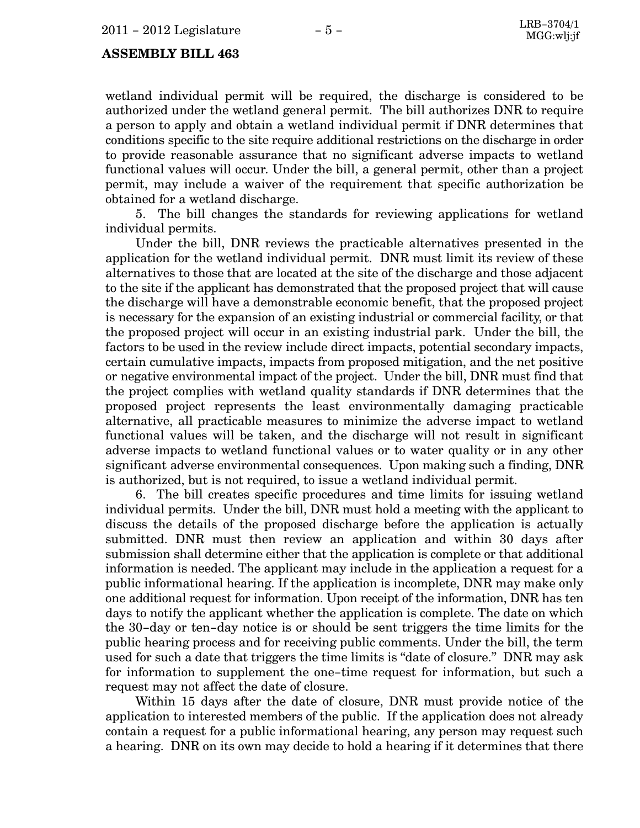wetland individual permit will be required, the discharge is considered to be authorized under the wetland general permit. The bill authorizes DNR to require a person to apply and obtain a wetland individual permit if DNR determines that conditions specific to the site require additional restrictions on the discharge in order to provide reasonable assurance that no significant adverse impacts to wetland functional values will occur. Under the bill, a general permit, other than a project permit, may include a waiver of the requirement that specific authorization be obtained for a wetland discharge.

5. The bill changes the standards for reviewing applications for wetland individual permits.

Under the bill, DNR reviews the practicable alternatives presented in the application for the wetland individual permit. DNR must limit its review of these alternatives to those that are located at the site of the discharge and those adjacent to the site if the applicant has demonstrated that the proposed project that will cause the discharge will have a demonstrable economic benefit, that the proposed project is necessary for the expansion of an existing industrial or commercial facility, or that the proposed project will occur in an existing industrial park. Under the bill, the factors to be used in the review include direct impacts, potential secondary impacts, certain cumulative impacts, impacts from proposed mitigation, and the net positive or negative environmental impact of the project. Under the bill, DNR must find that the project complies with wetland quality standards if DNR determines that the proposed project represents the least environmentally damaging practicable alternative, all practicable measures to minimize the adverse impact to wetland functional values will be taken, and the discharge will not result in significant adverse impacts to wetland functional values or to water quality or in any other significant adverse environmental consequences. Upon making such a finding, DNR is authorized, but is not required, to issue a wetland individual permit.

6. The bill creates specific procedures and time limits for issuing wetland individual permits. Under the bill, DNR must hold a meeting with the applicant to discuss the details of the proposed discharge before the application is actually submitted. DNR must then review an application and within 30 days after submission shall determine either that the application is complete or that additional information is needed. The applicant may include in the application a request for a public informational hearing. If the application is incomplete, DNR may make only one additional request for information. Upon receipt of the information, DNR has ten days to notify the applicant whether the application is complete. The date on which the 30−day or ten−day notice is or should be sent triggers the time limits for the public hearing process and for receiving public comments. Under the bill, the term used for such a date that triggers the time limits is "date of closure." DNR may ask for information to supplement the one−time request for information, but such a request may not affect the date of closure.

Within 15 days after the date of closure, DNR must provide notice of the application to interested members of the public. If the application does not already contain a request for a public informational hearing, any person may request such a hearing. DNR on its own may decide to hold a hearing if it determines that there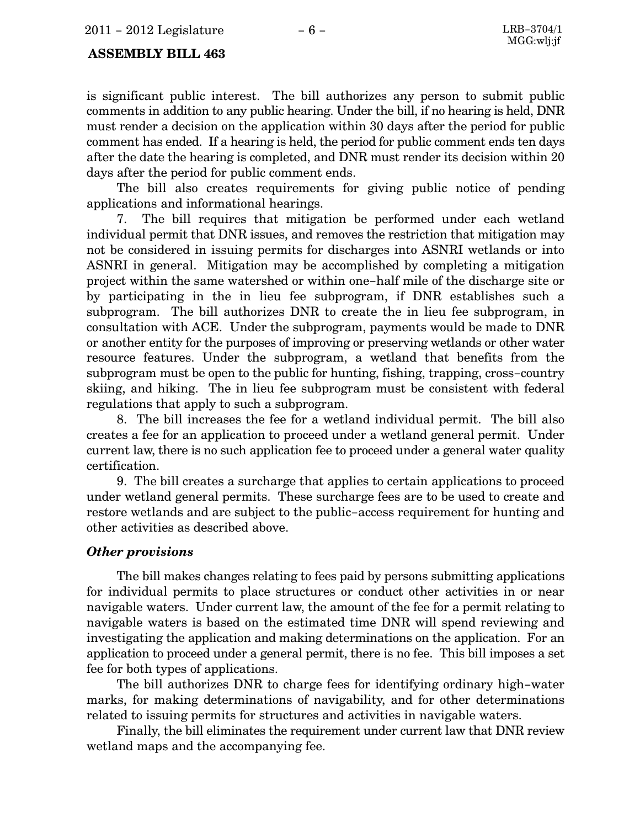is significant public interest. The bill authorizes any person to submit public comments in addition to any public hearing. Under the bill, if no hearing is held, DNR must render a decision on the application within 30 days after the period for public comment has ended. If a hearing is held, the period for public comment ends ten days after the date the hearing is completed, and DNR must render its decision within 20 days after the period for public comment ends.

The bill also creates requirements for giving public notice of pending applications and informational hearings.

7. The bill requires that mitigation be performed under each wetland individual permit that DNR issues, and removes the restriction that mitigation may not be considered in issuing permits for discharges into ASNRI wetlands or into ASNRI in general. Mitigation may be accomplished by completing a mitigation project within the same watershed or within one−half mile of the discharge site or by participating in the in lieu fee subprogram, if DNR establishes such a subprogram. The bill authorizes DNR to create the in lieu fee subprogram, in consultation with ACE. Under the subprogram, payments would be made to DNR or another entity for the purposes of improving or preserving wetlands or other water resource features. Under the subprogram, a wetland that benefits from the subprogram must be open to the public for hunting, fishing, trapping, cross−country skiing, and hiking. The in lieu fee subprogram must be consistent with federal regulations that apply to such a subprogram.

8. The bill increases the fee for a wetland individual permit. The bill also creates a fee for an application to proceed under a wetland general permit. Under current law, there is no such application fee to proceed under a general water quality certification.

9. The bill creates a surcharge that applies to certain applications to proceed under wetland general permits. These surcharge fees are to be used to create and restore wetlands and are subject to the public−access requirement for hunting and other activities as described above.

#### Other provisions

The bill makes changes relating to fees paid by persons submitting applications for individual permits to place structures or conduct other activities in or near navigable waters. Under current law, the amount of the fee for a permit relating to navigable waters is based on the estimated time DNR will spend reviewing and investigating the application and making determinations on the application. For an application to proceed under a general permit, there is no fee. This bill imposes a set fee for both types of applications.

The bill authorizes DNR to charge fees for identifying ordinary high−water marks, for making determinations of navigability, and for other determinations related to issuing permits for structures and activities in navigable waters.

Finally, the bill eliminates the requirement under current law that DNR review wetland maps and the accompanying fee.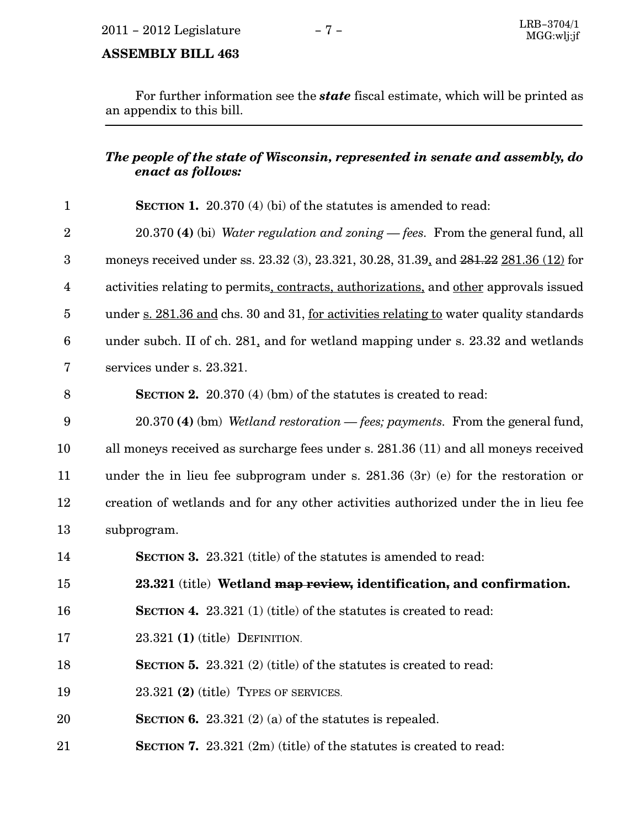For further information see the state fiscal estimate, which will be printed as an appendix to this bill.

### The people of the state of Wisconsin, represented in senate and assembly, do enact as follows:

| $\mathbf{1}$            | <b>SECTION 1.</b> 20.370 (4) (bi) of the statutes is amended to read:                  |
|-------------------------|----------------------------------------------------------------------------------------|
| $\overline{2}$          | $20.370$ (4) (bi) Water regulation and zoning - fees. From the general fund, all       |
| $\boldsymbol{3}$        | moneys received under ss. 23.32 (3), 23.321, 30.28, 31.39, and 281.22 281.36 (12) for  |
| $\overline{\mathbf{4}}$ | activities relating to permits, contracts, authorizations, and other approvals issued  |
| $\overline{5}$          | under s. 281.36 and chs. 30 and 31, for activities relating to water quality standards |
| 6                       | under subch. II of ch. 281, and for wetland mapping under s. 23.32 and wetlands        |
| 7                       | services under s. 23.321.                                                              |
| 8                       | <b>SECTION 2.</b> 20.370 (4) (bm) of the statutes is created to read:                  |
| 9                       | 20.370 (4) (bm) Wetland restoration - fees; payments. From the general fund,           |
| 10                      | all moneys received as surcharge fees under s. 281.36 (11) and all moneys received     |
| 11                      | under the in lieu fee subprogram under s. $281.36$ (3r) (e) for the restoration or     |
| 12                      | creation of wetlands and for any other activities authorized under the in lieu fee     |
| 13                      | subprogram.                                                                            |
| 14                      | <b>SECTION 3.</b> 23.321 (title) of the statutes is amended to read:                   |
| 15                      | 23.321 (title) Wetland map review, identification, and confirmation.                   |
| 16                      | <b>SECTION 4.</b> 23.321 (1) (title) of the statutes is created to read:               |
| 17                      | $23.321$ (1) (title) DEFINITION.                                                       |
| 18                      | <b>SECTION 5.</b> 23.321 (2) (title) of the statutes is created to read:               |
| 19                      | 23.321 (2) (title) TYPES OF SERVICES.                                                  |
| 20                      | SECTION 6. 23.321 (2) (a) of the statutes is repealed.                                 |
| 21                      | <b>SECTION 7.</b> 23.321 $(2m)$ (title) of the statutes is created to read:            |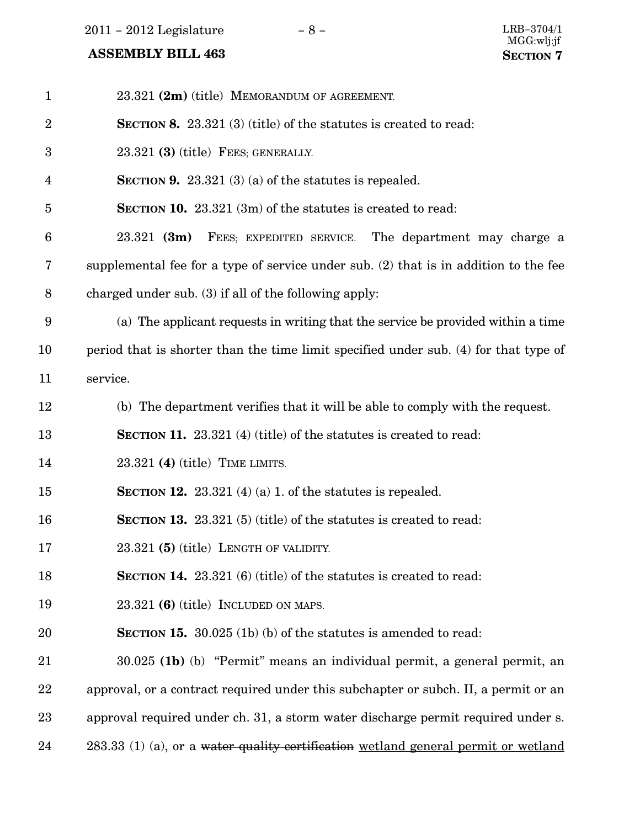$2011 - 2012$  Legislature  $-8 -$ 

| $\mathbf{1}$   | 23.321 (2m) (title) MEMORANDUM OF AGREEMENT.                                         |
|----------------|--------------------------------------------------------------------------------------|
| $\overline{2}$ | <b>SECTION 8.</b> 23.321 (3) (title) of the statutes is created to read:             |
| 3              | $23.321$ (3) (title) FEES; GENERALLY.                                                |
| 4              | <b>SECTION 9.</b> 23.321 (3) (a) of the statutes is repealed.                        |
| 5              | <b>SECTION 10.</b> 23.321 (3m) of the statutes is created to read:                   |
| 6              | $23.321$ (3m)<br>FEES; EXPEDITED SERVICE. The department may charge a                |
| 7              | supplemental fee for a type of service under sub. (2) that is in addition to the fee |
| 8              | charged under sub. (3) if all of the following apply:                                |
| 9              | (a) The applicant requests in writing that the service be provided within a time     |
| 10             | period that is shorter than the time limit specified under sub. (4) for that type of |
| 11             | service.                                                                             |
| 12             | (b) The department verifies that it will be able to comply with the request.         |
| 13             | <b>SECTION 11.</b> 23.321 (4) (title) of the statutes is created to read:            |
| 14             | $23.321$ (4) (title) TIME LIMITS.                                                    |
| 15             | <b>SECTION 12.</b> 23.321 (4) (a) 1. of the statures is repealed.                    |
| 16             | <b>SECTION 13.</b> 23.321 (5) (title) of the statutes is created to read:            |
| 17             | $23.321$ (5) (title) LENGTH OF VALIDITY.                                             |
| 18             | <b>SECTION 14.</b> 23.321 (6) (title) of the statutes is created to read:            |
| 19             | $23.321$ (6) (title) INCLUDED ON MAPS.                                               |
| 20             | <b>SECTION 15.</b> 30.025 (1b) (b) of the statutes is amended to read:               |
| 21             | 30.025 (1b) (b) "Permit" means an individual permit, a general permit, an            |
| 22             | approval, or a contract required under this subchapter or subch. II, a permit or an  |
| 23             | approval required under ch. 31, a storm water discharge permit required under s.     |
| 24             | 283.33 (1) (a), or a water quality certification wetland general permit or wetland   |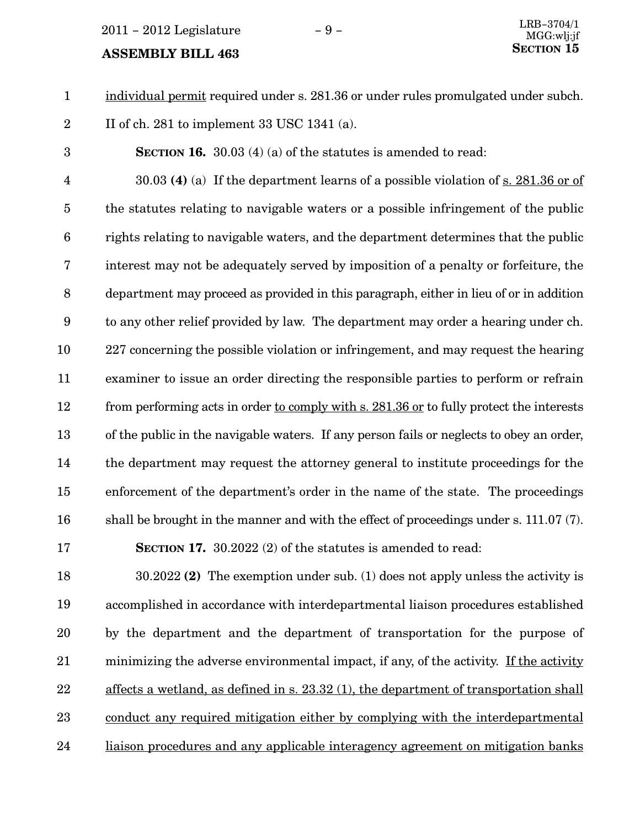$2011 - 2012$  Legislature  $-9 -$ 

#### **ASSEMBLY BILL 463**

17

individual permit required under s. 281.36 or under rules promulgated under subch. 1

II of ch. 281 to implement 33 USC 1341 (a). 2

SECTION 16. 30.03 (4) (a) of the statutes is amended to read: 3

30.03 (4) (a) If the department learns of a possible violation of s. 281.36 or of the statutes relating to navigable waters or a possible infringement of the public rights relating to navigable waters, and the department determines that the public interest may not be adequately served by imposition of a penalty or forfeiture, the department may proceed as provided in this paragraph, either in lieu of or in addition to any other relief provided by law. The department may order a hearing under ch. 227 concerning the possible violation or infringement, and may request the hearing examiner to issue an order directing the responsible parties to perform or refrain from performing acts in order to comply with s. 281.36 or to fully protect the interests of the public in the navigable waters. If any person fails or neglects to obey an order, the department may request the attorney general to institute proceedings for the enforcement of the department's order in the name of the state. The proceedings shall be brought in the manner and with the effect of proceedings under s. 111.07 (7). 4 5 6 7 8 9 10 11 12 13 14 15 16

SECTION 17. 30.2022 (2) of the statutes is amended to read:

30.2022 (2) The exemption under sub. (1) does not apply unless the activity is accomplished in accordance with interdepartmental liaison procedures established by the department and the department of transportation for the purpose of minimizing the adverse environmental impact, if any, of the activity. If the activity affects a wetland, as defined in s. 23.32 (1), the department of transportation shall conduct any required mitigation either by complying with the interdepartmental liaison procedures and any applicable interagency agreement on mitigation banks 18 19 20 21 22 23 24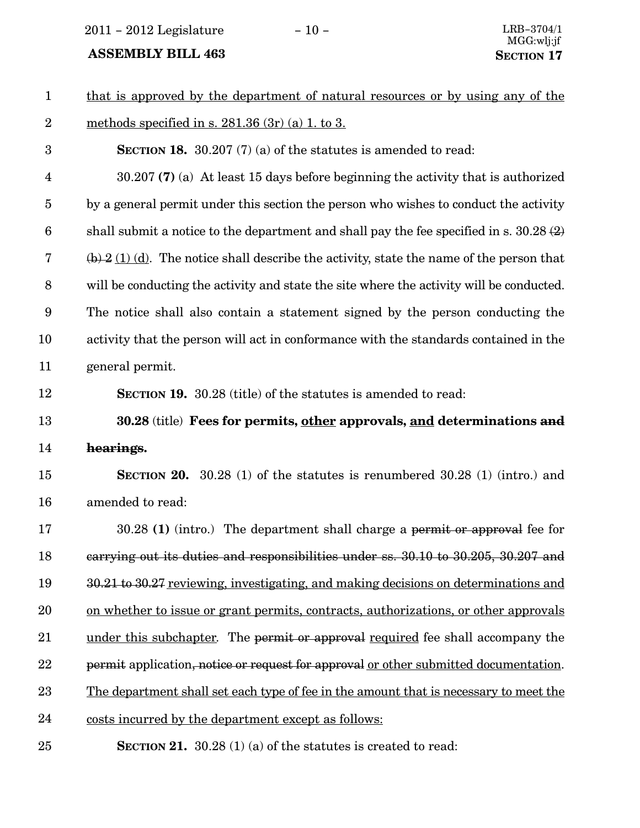2011 – 2012 Legislature − 10 − LRB−3704/1

| $\mathbf{1}$            | that is approved by the department of natural resources or by using any of the                        |
|-------------------------|-------------------------------------------------------------------------------------------------------|
| $\overline{2}$          | methods specified in s. $281.36(3r)(a) 1$ . to 3.                                                     |
| 3                       | <b>SECTION 18.</b> 30.207 $(7)$ (a) of the statutes is amended to read:                               |
| $\overline{\mathbf{4}}$ | $30.207$ (7) (a) At least 15 days before beginning the activity that is authorized                    |
| $\overline{5}$          | by a general permit under this section the person who wishes to conduct the activity                  |
| $6\phantom{.}6$         | shall submit a notice to the department and shall pay the fee specified in s. $30.28(2)$              |
| $\bf 7$                 | $\overline{(b)}$ 2 (1) (d). The notice shall describe the activity, state the name of the person that |
| 8                       | will be conducting the activity and state the site where the activity will be conducted.              |
| 9                       | The notice shall also contain a statement signed by the person conducting the                         |
| 10                      | activity that the person will act in conformance with the standards contained in the                  |
| 11                      | general permit.                                                                                       |
| 12                      | <b>SECTION 19.</b> 30.28 (title) of the statutes is amended to read:                                  |
| 13                      | 30.28 (title) Fees for permits, other approvals, and determinations and                               |
| 14                      | hearings.                                                                                             |
| 15                      | <b>SECTION 20.</b> 30.28 (1) of the statutes is renumbered $30.28$ (1) (intro.) and                   |
| 16                      | amended to read:                                                                                      |
| 17                      | $30.28$ (1) (intro.) The department shall charge a permit or approval fee for                         |
| 18                      | carrying out its duties and responsibilities under ss. 30.10 to 30.205, 30.207 and                    |
| 19                      | 30.21 to 30.27 reviewing, investigating, and making decisions on determinations and                   |
| 20                      | on whether to issue or grant permits, contracts, authorizations, or other approvals                   |
| 21                      | under this subchapter. The permit or approval required fee shall accompany the                        |
| 22                      | permit application, notice or request for approval or other submitted documentation.                  |
| 23                      | The department shall set each type of fee in the amount that is necessary to meet the                 |
| 24                      | costs incurred by the department except as follows:                                                   |
| 25                      | <b>SECTION 21.</b> 30.28 (1) (a) of the statutes is created to read:                                  |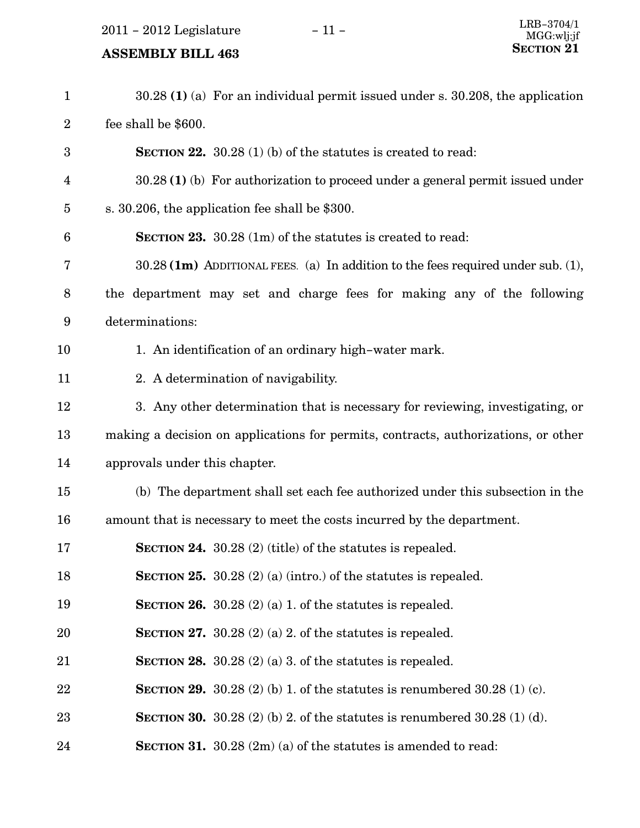2011 – 2012 Legislature – 11 –

| $\mathbf{1}$     | $30.28$ (1) (a) For an individual permit issued under s. 30.208, the application   |
|------------------|------------------------------------------------------------------------------------|
| $\sqrt{2}$       | fee shall be \$600.                                                                |
| $\boldsymbol{3}$ | <b>SECTION 22.</b> 30.28 (1) (b) of the statutes is created to read:               |
| 4                | $30.28(1)$ (b) For authorization to proceed under a general permit issued under    |
| $\overline{5}$   | s. 30.206, the application fee shall be \$300.                                     |
| $6\phantom{1}6$  | <b>SECTION 23.</b> 30.28 $(1m)$ of the statutes is created to read:                |
| 7                | 30.28 (1m) ADDITIONAL FEES. (a) In addition to the fees required under sub. (1),   |
| 8                | the department may set and charge fees for making any of the following             |
| 9                | determinations:                                                                    |
| 10               | 1. An identification of an ordinary high-water mark.                               |
| 11               | 2. A determination of navigability.                                                |
| 12               | 3. Any other determination that is necessary for reviewing, investigating, or      |
| 13               | making a decision on applications for permits, contracts, authorizations, or other |
| 14               | approvals under this chapter.                                                      |
| 15               | (b) The department shall set each fee authorized under this subsection in the      |
| 16               | amount that is necessary to meet the costs incurred by the department.             |
| 17               | <b>SECTION 24.</b> 30.28 $(2)$ (title) of the statutes is repealed.                |
| 18               | <b>SECTION 25.</b> 30.28 (2) (a) (intro.) of the statutes is repealed.             |
| 19               | <b>SECTION 26.</b> 30.28 (2) (a) 1. of the statures is repealed.                   |
| 20               | SECTION 27. 30.28 (2) (a) 2. of the statutes is repealed.                          |
| 21               | SECTION 28. $30.28(2)(a)$ 3. of the statutes is repealed.                          |
| 22               | <b>SECTION 29.</b> 30.28 (2) (b) 1. of the statutes is renumbered 30.28 (1) (c).   |
| 23               | <b>SECTION 30.</b> 30.28 (2) (b) 2. of the statutes is renumbered 30.28 (1) (d).   |
| 24               | <b>SECTION 31.</b> 30.28 $(2m)(a)$ of the statutes is amended to read:             |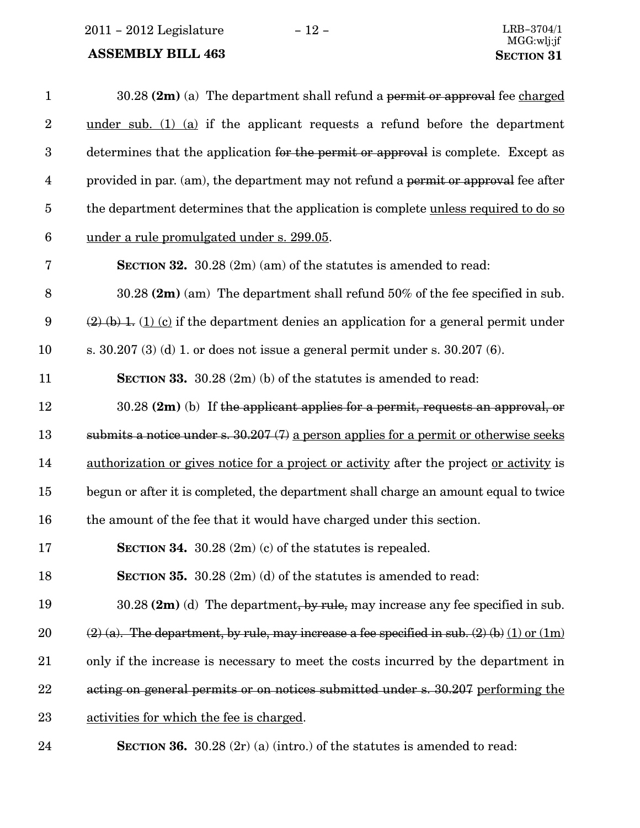2011 − 2012 Legislature − 12 − LRB−3704/1

| $\mathbf{1}$     | $30.28$ (2m) (a) The department shall refund a permit or approval fee charged                      |
|------------------|----------------------------------------------------------------------------------------------------|
| $\boldsymbol{2}$ | under sub. $(1)$ $(a)$ if the applicant requests a refund before the department                    |
| $\boldsymbol{3}$ | determines that the application for the permit or approval is complete. Except as                  |
| $\overline{4}$   | provided in par. (am), the department may not refund a permit or approval fee after                |
| $\overline{5}$   | the department determines that the application is complete unless required to do so                |
| $\boldsymbol{6}$ | under a rule promulgated under s. 299.05.                                                          |
| 7                | <b>SECTION 32.</b> 30.28 $(2m)(am)$ of the statutes is amended to read:                            |
| $8\,$            | 30.28 $(2m)$ (am) The department shall refund 50% of the fee specified in sub.                     |
| $9\phantom{.0}$  | $(2)$ (b) 1. (1) (c) if the department denies an application for a general permit under            |
| 10               | s. $30.207$ (3) (d) 1. or does not issue a general permit under s. $30.207$ (6).                   |
| 11               | <b>SECTION 33.</b> 30.28 $(2m)$ (b) of the statutes is amended to read:                            |
| 12               | 30.28 (2m) (b) If the applicant applies for a permit, requests an approval, or                     |
| 13               | submits a notice under s. $30.207(7)$ a person applies for a permit or otherwise seeks             |
| 14               | authorization or gives notice for a project or activity after the project or activity is           |
| 15               | begun or after it is completed, the department shall charge an amount equal to twice               |
| 16               | the amount of the fee that it would have charged under this section.                               |
| 17               | SECTION 34. $30.28$ (2m) (c) of the statutes is repealed.                                          |
| 18               | <b>SECTION 35.</b> $30.28$ (2m) (d) of the statutes is amended to read:                            |
| 19               | 30.28 $(2m)$ (d) The department, by rule, may increase any fee specified in sub.                   |
| 20               | $(2)$ (a). The department, by rule, may increase a fee specified in sub. $(2)$ (b) $(1)$ or $(1m)$ |
| 21               | only if the increase is necessary to meet the costs incurred by the department in                  |
| 22               | acting on general permits or on notices submitted under s. 30.207 performing the                   |
| 23               | activities for which the fee is charged.                                                           |
| 24               | <b>SECTION 36.</b> 30.28 $(2r)$ (a) (intro.) of the statutes is amended to read:                   |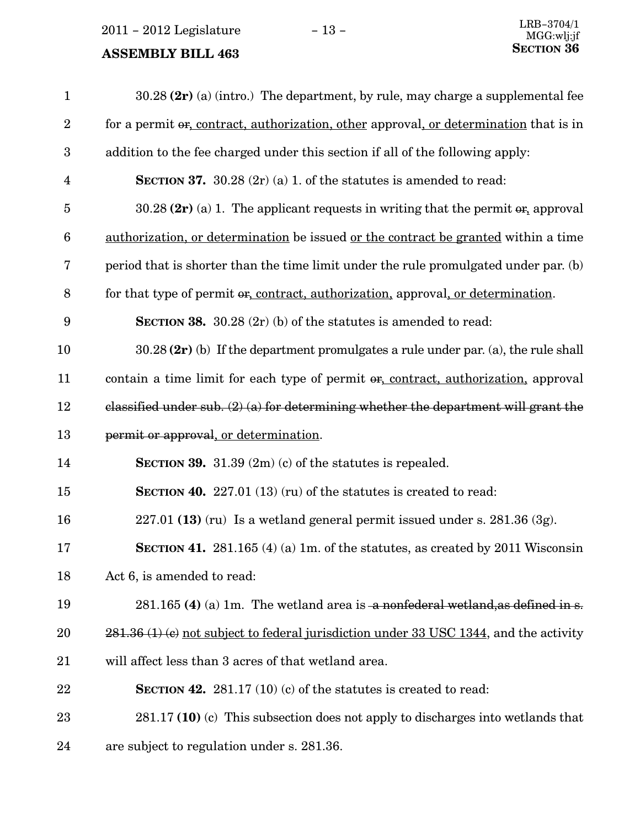| $\mathbf{1}$     | $30.28$ (2r) (a) (intro.) The department, by rule, may charge a supplemental fee          |
|------------------|-------------------------------------------------------------------------------------------|
| $\sqrt{2}$       | for a permit or, contract, authorization, other approval, or determination that is in     |
| $\boldsymbol{3}$ | addition to the fee charged under this section if all of the following apply:             |
| $\overline{4}$   | <b>SECTION 37.</b> 30.28 $(2r)$ (a) 1. of the statutes is amended to read:                |
| $\bf 5$          | 30.28 $(2r)$ (a) 1. The applicant requests in writing that the permit $\sigma$ , approval |
| $6\phantom{.}6$  | authorization, or determination be issued or the contract be granted within a time        |
| 7                | period that is shorter than the time limit under the rule promulgated under par. (b)      |
| $\, 8$           | for that type of permit or, contract, authorization, approval, or determination.          |
| $\boldsymbol{9}$ | <b>SECTION 38.</b> 30.28 $(2r)$ (b) of the statutes is amended to read:                   |
| 10               | $30.28$ (2r) (b) If the department promulgates a rule under par. (a), the rule shall      |
| 11               | contain a time limit for each type of permit or, contract, authorization, approval        |
| 12               | classified under sub. $(2)$ (a) for determining whether the department will grant the     |
| 13               | permit or approval, or determination.                                                     |
| 14               | <b>SECTION 39.</b> 31.39 $(2m)(c)$ of the statutes is repealed.                           |
| 15               | <b>SECTION 40.</b> 227.01 (13) (ru) of the statutes is created to read:                   |
| 16               | $227.01$ (13) (ru) Is a wetland general permit issued under s. $281.36$ (3g).             |
| 17               |                                                                                           |
|                  | <b>SECTION 41.</b> 281.165 (4) (a) 1m. of the statutes, as created by 2011 Wisconsin      |
| 18               | Act 6, is amended to read:                                                                |
| 19               | $281.165$ (4) (a) 1m. The wetland area is a nonfederal wetland, as defined in s.          |
| 20               | 281.36 (1) (c) not subject to federal jurisdiction under 33 USC 1344, and the activity    |
| 21               | will affect less than 3 acres of that wetland area.                                       |
| 22               | <b>SECTION 42.</b> 281.17 (10) (c) of the statutes is created to read:                    |
| 23               | $281.17$ (10) (c) This subsection does not apply to discharges into wetlands that         |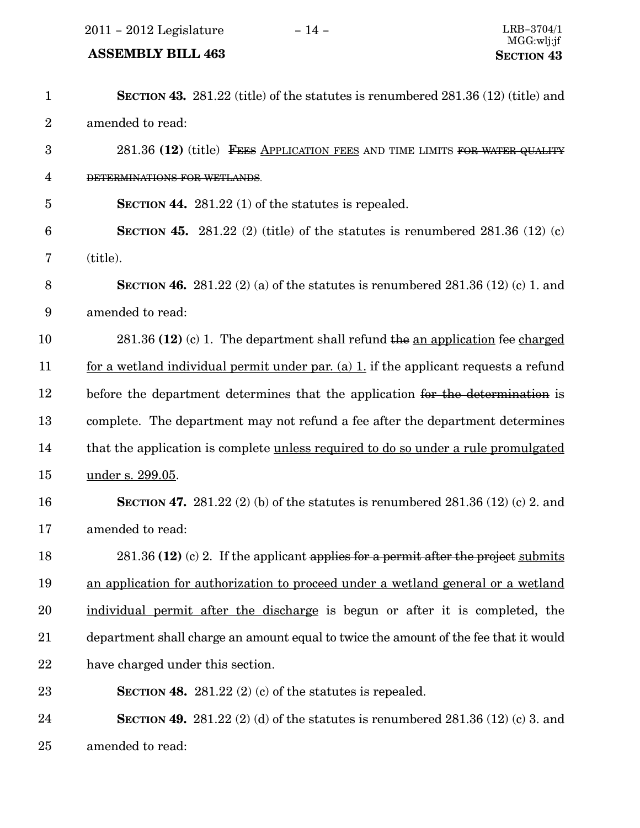2011 − 2012 Legislature − 14 − LRB−3704/1

#### ASSEMBLY BILL 463 SECTION 43

SECTION 43. 281.22 (title) of the statutes is renumbered 281.36 (12) (title) and amended to read: 281.36 (12) (title) FEES APPLICATION FEES AND TIME LIMITS FOR WATER QUALITY DETERMINATIONS FOR WETLANDS. SECTION 44. 281.22 (1) of the statutes is repealed. SECTION 45. 281.22 (2) (title) of the statutes is renumbered  $281.36$  (12) (c) (title). SECTION 46. 281.22 (2) (a) of the statutes is renumbered 281.36 (12) (c) 1. and amended to read:  $281.36$  (12) (c) 1. The department shall refund the an application fee charged for a wetland individual permit under par. (a) 1. if the applicant requests a refund before the department determines that the application for the determination is complete. The department may not refund a fee after the department determines that the application is complete unless required to do so under a rule promulgated under s. 299.05. **SECTION 47.** 281.22 (2) (b) of the statutes is renumbered 281.36 (12) (c) 2. and amended to read:  $281.36$  (12) (c) 2. If the applicant applies for a permit after the project submits an application for authorization to proceed under a wetland general or a wetland individual permit after the discharge is begun or after it is completed, the department shall charge an amount equal to twice the amount of the fee that it would have charged under this section. SECTION 48. 281.22  $(2)$  (c) of the statutes is repealed. **SECTION 49.** 281.22 (2) (d) of the statutes is renumbered 281.36 (12) (c) 3. and amended to read: 1 2 3 4 5 6 7 8 9 10 11 12 13 14 15 16 17 18 19 20 21 22 23 24 25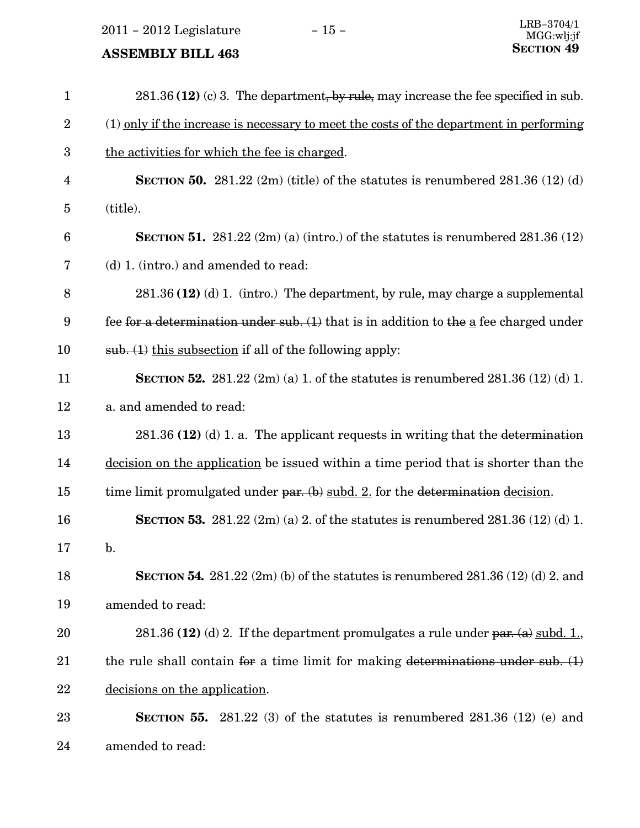2011 – 2012 Legislature − 15 –

| $\mathbf{1}$   | $281.36$ (12) (c) 3. The department, by rule, may increase the fee specified in sub.                  |
|----------------|-------------------------------------------------------------------------------------------------------|
| $\overline{2}$ | (1) only if the increase is necessary to meet the costs of the department in performing               |
| 3              | the activities for which the fee is charged.                                                          |
| 4              | <b>SECTION 50.</b> 281.22 $(2m)$ (title) of the statutes is renumbered 281.36 $(12)$ (d)              |
| $\overline{5}$ | (title).                                                                                              |
| 6              | <b>SECTION 51.</b> 281.22 $(2m)(a)(intro.)$ of the statutes is renumbered 281.36 $(12)$               |
| 7              | (d) 1. (intro.) and amended to read:                                                                  |
| 8              | $281.36$ (12) (d) 1. (intro.) The department, by rule, may charge a supplemental                      |
| 9              | fee for a determination under sub. $(1)$ that is in addition to the $\underline{a}$ fee charged under |
| 10             | sub. (1) this subsection if all of the following apply:                                               |
| 11             | <b>SECTION 52.</b> 281.22 $(2m)(a)$ 1. of the statutes is renumbered 281.36 $(12)(d)$ 1.              |
| 12             | a. and amended to read:                                                                               |
| 13             | $281.36$ (12) (d) 1. a. The applicant requests in writing that the determination                      |
| 14             | decision on the application be issued within a time period that is shorter than the                   |
| 15             | time limit promulgated under par. $(b)$ subd. 2. for the determination decision.                      |
| 16             | <b>SECTION 53.</b> 281.22 $(2m)(a)$ 2. of the statutes is renumbered 281.36 $(12)(d)$ 1.              |
| 17             | b.                                                                                                    |
| 18             | <b>SECTION 54.</b> 281.22 $(2m)$ (b) of the statutes is renumbered 281.36 $(12)$ (d) 2. and           |
| 19             | amended to read:                                                                                      |
| 20             | 281.36 (12) (d) 2. If the department promulgates a rule under par. (a) subd. 1.                       |
| 21             | the rule shall contain for a time limit for making determinations under sub. $(1)$                    |
| 22             | decisions on the application.                                                                         |
| 23             | <b>SECTION 55.</b> 281.22 (3) of the statutes is renumbered 281.36 (12) (e) and                       |
| 24             | amended to read:                                                                                      |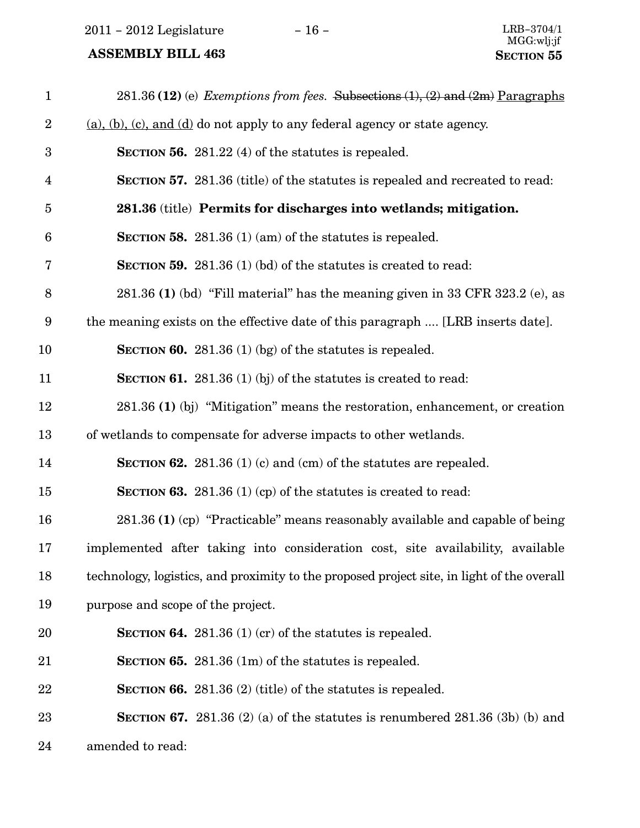2011 – 2012 Legislature − 16 − LRB−3704/1

| $\mathbf{1}$     | 281.36 (12) (e) Exemptions from fees. Subsections $(1)$ , $(2)$ and $(2m)$ Paragraphs      |
|------------------|--------------------------------------------------------------------------------------------|
| $\boldsymbol{2}$ | $(a)$ , (b), (c), and (d) do not apply to any federal agency or state agency.              |
| $\boldsymbol{3}$ | SECTION 56. 281.22 (4) of the statutes is repealed.                                        |
| $\overline{4}$   | <b>SECTION 57.</b> 281.36 (title) of the statutes is repealed and recreated to read:       |
| $\overline{5}$   | 281.36 (title) Permits for discharges into wetlands; mitigation.                           |
| $6\phantom{1}6$  | <b>SECTION 58.</b> 281.36 (1) (am) of the statutes is repealed.                            |
| 7                | <b>SECTION 59.</b> 281.36 (1) (bd) of the statutes is created to read:                     |
| 8                | 281.36 (1) (bd) "Fill material" has the meaning given in 33 CFR 323.2 (e), as              |
| 9                | the meaning exists on the effective date of this paragraph  [LRB inserts date].            |
| 10               | <b>SECTION 60.</b> 281.36 (1) (bg) of the statures is repealed.                            |
| 11               | <b>SECTION 61.</b> 281.36 (1) (bj) of the statutes is created to read:                     |
| 12               | 281.36 (1) (bj) "Mitigation" means the restoration, enhancement, or creation               |
| 13               | of wetlands to compensate for adverse impacts to other wetlands.                           |
| 14               | <b>SECTION 62.</b> 281.36 (1) (c) and (cm) of the statutes are repealed.                   |
| 15               | <b>SECTION 63.</b> 281.36 (1) (cp) of the statutes is created to read:                     |
| 16               | 281.36 (1) (cp) "Practicable" means reasonably available and capable of being              |
| 17               | implemented after taking into consideration cost, site availability, available             |
| 18               | technology, logistics, and proximity to the proposed project site, in light of the overall |
| 19               | purpose and scope of the project.                                                          |
| 20               | <b>SECTION 64.</b> 281.36 (1) (cr) of the statutes is repealed.                            |
| 21               | SECTION 65. 281.36 (1m) of the statutes is repealed.                                       |
| 22               | SECTION 66. 281.36 $(2)$ (title) of the statutes is repealed.                              |
| 23               | <b>SECTION 67.</b> 281.36 (2) (a) of the statutes is renumbered 281.36 (3b) (b) and        |
| 24               | amended to read:                                                                           |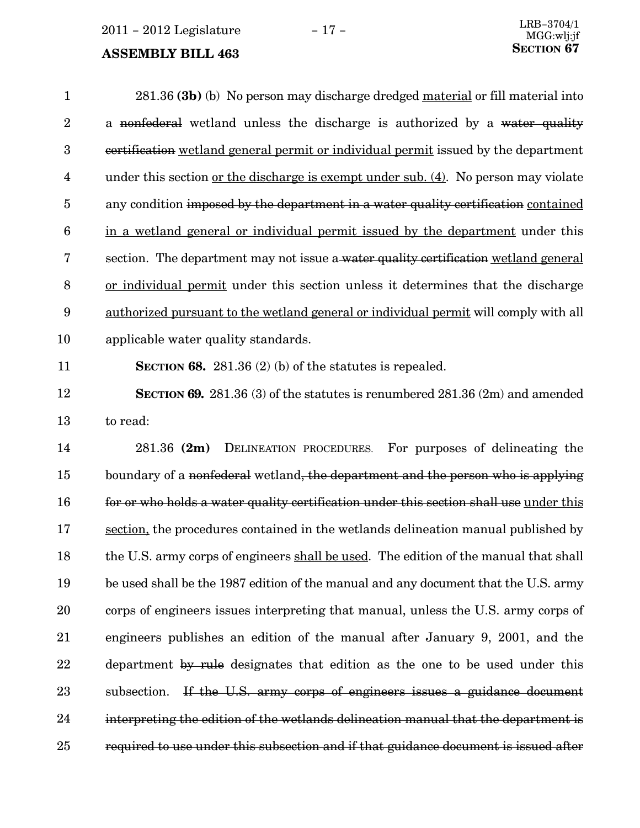$2011 - 2012$  Legislature  $-17 -$ 

#### **ASSEMBLY BILL 463**

281.36 (3b) (b) No person may discharge dredged material or fill material into a nonfederal wetland unless the discharge is authorized by a water quality certification wetland general permit or individual permit issued by the department under this section <u>or the discharge is exempt under sub. (4</u>). No person may violate any condition imposed by the department in a water quality certification contained in a wetland general or individual permit issued by the department under this section. The department may not issue a water quality certification wetland general or individual permit under this section unless it determines that the discharge authorized pursuant to the wetland general or individual permit will comply with all applicable water quality standards. 1 2 3 4 5 6 7 8 9 10

#### 11

SECTION 68. 281.36  $(2)$  (b) of the statutes is repealed.

SECTION 69. 281.36 (3) of the statutes is renumbered 281.36 (2m) and amended to read: 12 13

281.36 (2m) DELINEATION PROCEDURES. For purposes of delineating the boundary of a nonfederal wetland, the department and the person who is applying for or who holds a water quality certification under this section shall use under this section, the procedures contained in the wetlands delineation manual published by the U.S. army corps of engineers shall be used. The edition of the manual that shall be used shall be the 1987 edition of the manual and any document that the U.S. army corps of engineers issues interpreting that manual, unless the U.S. army corps of engineers publishes an edition of the manual after January 9, 2001, and the department by rule designates that edition as the one to be used under this subsection. If the U.S. army corps of engineers issues a guidance document interpreting the edition of the wetlands delineation manual that the department is required to use under this subsection and if that guidance document is issued after 14 15 16 17 18 19 20 21 22 23 24 25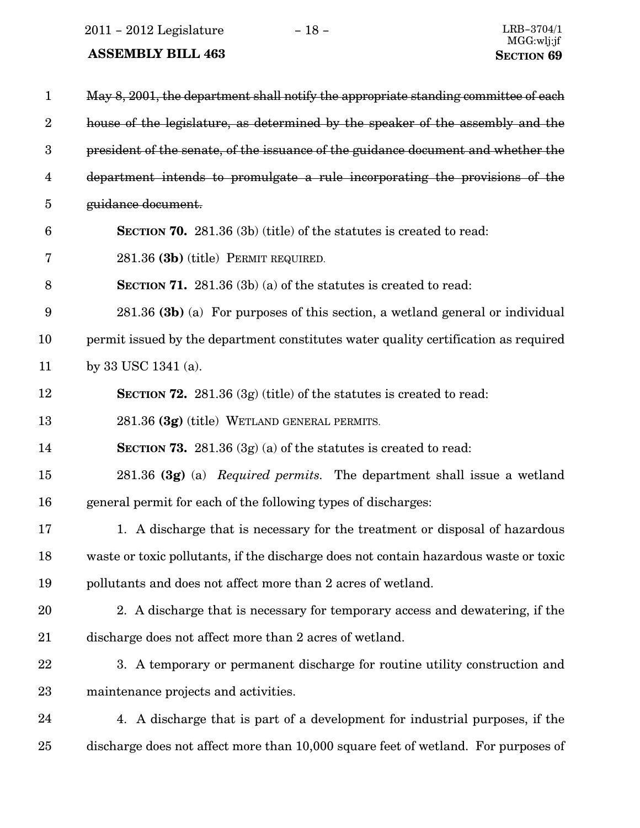2011 – 2012 Legislature − 18 − LRB−3704/1

| $\mathbf{1}$     | May 8, 2001, the department shall notify the appropriate standing committee of each   |
|------------------|---------------------------------------------------------------------------------------|
| $\boldsymbol{2}$ | house of the legislature, as determined by the speaker of the assembly and the        |
| $\boldsymbol{3}$ | president of the senate, of the issuance of the guidance document and whether the     |
| $\overline{4}$   | department intends to promulgate a rule incorporating the provisions of the           |
| $\overline{5}$   | guidance document.                                                                    |
| $6\phantom{1}6$  | <b>SECTION 70.</b> 281.36 (3b) (title) of the statutes is created to read:            |
| 7                | 281.36 (3b) (title) PERMIT REQUIRED.                                                  |
| $8\,$            | <b>SECTION 71.</b> 281.36 (3b) (a) of the statures is created to read:                |
| 9                | $281.36$ (3b) (a) For purposes of this section, a wetland general or individual       |
| 10               | permit issued by the department constitutes water quality certification as required   |
| 11               | by 33 USC 1341 (a).                                                                   |
| 12               | <b>SECTION 72.</b> 281.36 $(3g)$ (title) of the statutes is created to read:          |
| 13               | 281.36 (3g) (title) WETLAND GENERAL PERMITS.                                          |
| 14               | <b>SECTION 73.</b> 281.36 $(3g)(a)$ of the statutes is created to read:               |
| 15               | 281.36 (3g) (a) Required permits. The department shall issue a wetland                |
| 16               | general permit for each of the following types of discharges:                         |
| 17               | 1. A discharge that is necessary for the treatment or disposal of hazardous           |
| 18               | waste or toxic pollutants, if the discharge does not contain hazardous waste or toxic |
| 19               | pollutants and does not affect more than 2 acres of wetland.                          |
| 20               | 2. A discharge that is necessary for temporary access and dewatering, if the          |
| 21               | discharge does not affect more than 2 acres of wetland.                               |
| 22               | 3. A temporary or permanent discharge for routine utility construction and            |
| 23               | maintenance projects and activities.                                                  |
| 24               | 4. A discharge that is part of a development for industrial purposes, if the          |
| 25               | discharge does not affect more than 10,000 square feet of wetland. For purposes of    |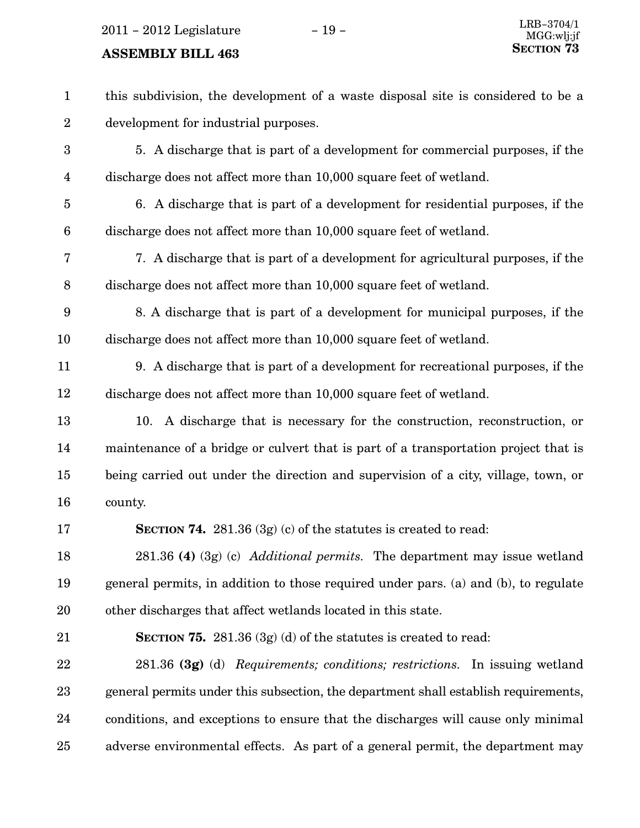2011 – 2012 Legislature − 19 –

| $\mathbf{1}$            | this subdivision, the development of a waste disposal site is considered to be a    |
|-------------------------|-------------------------------------------------------------------------------------|
| $\overline{2}$          | development for industrial purposes.                                                |
| 3                       | 5. A discharge that is part of a development for commercial purposes, if the        |
| $\overline{\mathbf{4}}$ | discharge does not affect more than 10,000 square feet of wetland.                  |
| $\overline{5}$          | 6. A discharge that is part of a development for residential purposes, if the       |
| $\boldsymbol{6}$        | discharge does not affect more than 10,000 square feet of wetland.                  |
| 7                       | 7. A discharge that is part of a development for agricultural purposes, if the      |
| $8\,$                   | discharge does not affect more than 10,000 square feet of wetland.                  |
| 9                       | 8. A discharge that is part of a development for municipal purposes, if the         |
| 10                      | discharge does not affect more than 10,000 square feet of wetland.                  |
| 11                      | 9. A discharge that is part of a development for recreational purposes, if the      |
| 12                      | discharge does not affect more than 10,000 square feet of wetland.                  |
| 13                      | 10. A discharge that is necessary for the construction, reconstruction, or          |
| 14                      | maintenance of a bridge or culvert that is part of a transportation project that is |
| 15                      | being carried out under the direction and supervision of a city, village, town, or  |
| 16                      | county.                                                                             |
| 17                      | <b>SECTION 74.</b> 281.36 $(3g)(c)$ of the statutes is created to read:             |
| 18                      | $281.36$ (4) (3g) (c) <i>Additional permits</i> . The department may issue wetland  |
| 19                      | general permits, in addition to those required under pars. (a) and (b), to regulate |
| 20                      | other discharges that affect wetlands located in this state.                        |
| 21                      | <b>SECTION 75.</b> 281.36 $(3g)(d)$ of the statutes is created to read:             |
| 22                      | 281.36 (3g) (d) Requirements; conditions; restrictions. In issuing wetland          |
| 23                      | general permits under this subsection, the department shall establish requirements, |
| 24                      | conditions, and exceptions to ensure that the discharges will cause only minimal    |
| 25                      | adverse environmental effects. As part of a general permit, the department may      |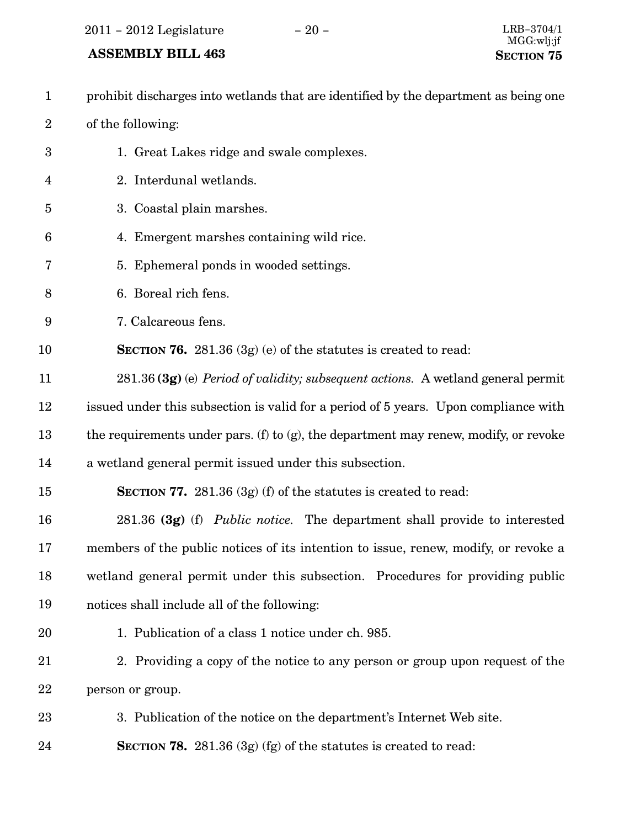### ASSEMBLY BILL 463 SECTION 75

prohibit discharges into wetlands that are identified by the department as being one of the following: 1. Great Lakes ridge and swale complexes. 2. Interdunal wetlands. 3. Coastal plain marshes. 4. Emergent marshes containing wild rice. 5. Ephemeral ponds in wooded settings. 6. Boreal rich fens. 7. Calcareous fens. SECTION 76. 281.36  $(3g)$  (e) of the statutes is created to read: 281.36 (3g) (e) Period of validity; subsequent actions. A wetland general permit issued under this subsection is valid for a period of 5 years. Upon compliance with the requirements under pars. (f) to  $(g)$ , the department may renew, modify, or revoke a wetland general permit issued under this subsection. SECTION 77.  $281.36$  (3g) (f) of the statutes is created to read: 281.36 (3g) (f) Public notice. The department shall provide to interested members of the public notices of its intention to issue, renew, modify, or revoke a wetland general permit under this subsection. Procedures for providing public notices shall include all of the following: 1. Publication of a class 1 notice under ch. 985. 2. Providing a copy of the notice to any person or group upon request of the person or group. 3. Publication of the notice on the department's Internet Web site. SECTION 78. 281.36 (3g) (fg) of the statutes is created to read: 1 2 3 4 5 6 7 8 9 10 11 12 13 14 15 16 17 18 19 20 21 22 23 24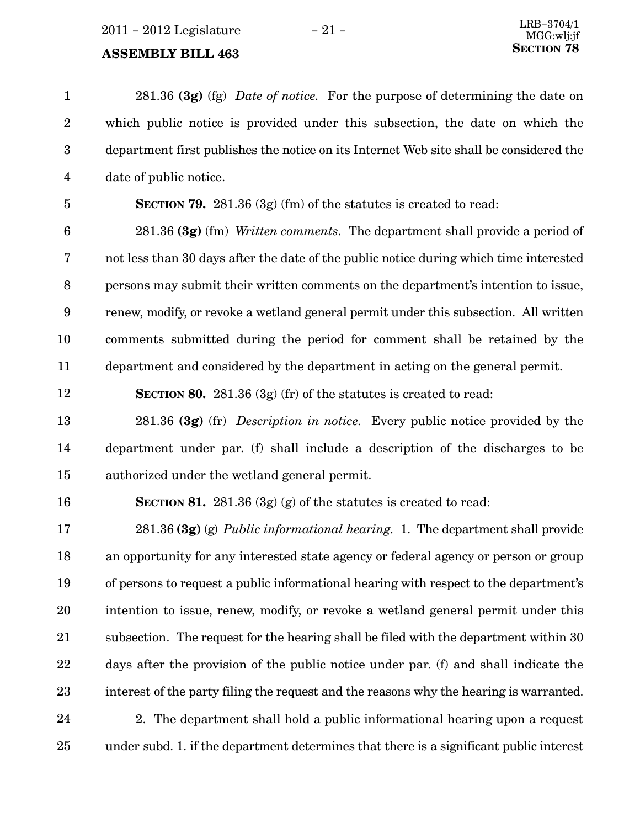281.36 (3g) (fg) Date of notice. For the purpose of determining the date on which public notice is provided under this subsection, the date on which the department first publishes the notice on its Internet Web site shall be considered the date of public notice. 1 2 3 4

5

**SECTION 79.** 281.36 (3g) (fm) of the statutes is created to read:

281.36 (3g) (fm) Written comments. The department shall provide a period of not less than 30 days after the date of the public notice during which time interested persons may submit their written comments on the department's intention to issue, renew, modify, or revoke a wetland general permit under this subsection. All written comments submitted during the period for comment shall be retained by the department and considered by the department in acting on the general permit. 6 7 8 9 10 11

12

**SECTION 80.** 281.36 (3g) (fr) of the statutes is created to read:

281.36 (3g) (fr) Description in notice. Every public notice provided by the department under par. (f) shall include a description of the discharges to be authorized under the wetland general permit. 13 14 15

#### 16

**SECTION 81.** 281.36 (3g) (g) of the statutes is created to read:

281.36 (3g) (g) Public informational hearing. 1. The department shall provide an opportunity for any interested state agency or federal agency or person or group of persons to request a public informational hearing with respect to the department's intention to issue, renew, modify, or revoke a wetland general permit under this subsection. The request for the hearing shall be filed with the department within 30 days after the provision of the public notice under par. (f) and shall indicate the interest of the party filing the request and the reasons why the hearing is warranted. 17 18 19 20 21 22 23

2. The department shall hold a public informational hearing upon a request under subd. 1. if the department determines that there is a significant public interest 24 25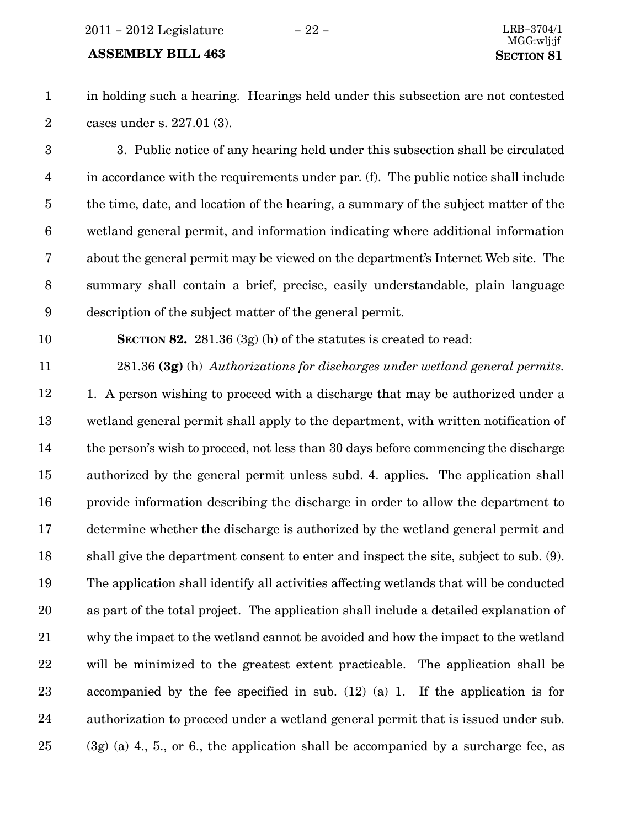#### ASSEMBLY BILL 463 SECTION 81

2

1

in holding such a hearing. Hearings held under this subsection are not contested cases under s. 227.01 (3).

3

3. Public notice of any hearing held under this subsection shall be circulated in accordance with the requirements under par. (f). The public notice shall include the time, date, and location of the hearing, a summary of the subject matter of the wetland general permit, and information indicating where additional information about the general permit may be viewed on the department's Internet Web site. The summary shall contain a brief, precise, easily understandable, plain language description of the subject matter of the general permit. 4 5 6 7 8 9

10

SECTION 82. 281.36 (3g) (h) of the statutes is created to read:

281.36 (3g) (h) Authorizations for discharges under wetland general permits. 11

1. A person wishing to proceed with a discharge that may be authorized under a wetland general permit shall apply to the department, with written notification of the person's wish to proceed, not less than 30 days before commencing the discharge authorized by the general permit unless subd. 4. applies. The application shall provide information describing the discharge in order to allow the department to determine whether the discharge is authorized by the wetland general permit and shall give the department consent to enter and inspect the site, subject to sub. (9). The application shall identify all activities affecting wetlands that will be conducted as part of the total project. The application shall include a detailed explanation of why the impact to the wetland cannot be avoided and how the impact to the wetland will be minimized to the greatest extent practicable. The application shall be accompanied by the fee specified in sub. (12) (a) 1. If the application is for authorization to proceed under a wetland general permit that is issued under sub. (3g) (a) 4., 5., or 6., the application shall be accompanied by a surcharge fee, as 12 13 14 15 16 17 18 19 20 21 22 23 24 25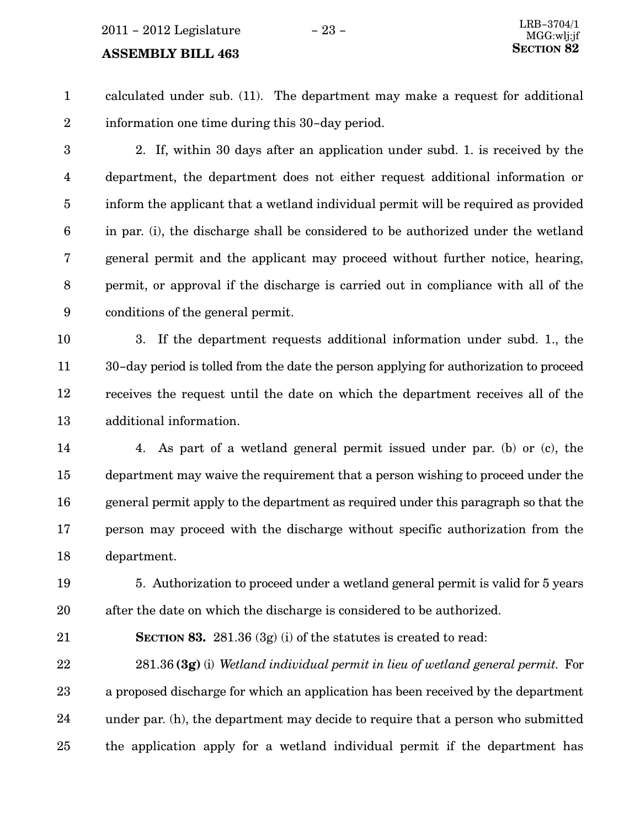calculated under sub. (11). The department may make a request for additional information one time during this 30−day period. 1 2

2. If, within 30 days after an application under subd. 1. is received by the department, the department does not either request additional information or inform the applicant that a wetland individual permit will be required as provided in par. (i), the discharge shall be considered to be authorized under the wetland general permit and the applicant may proceed without further notice, hearing, permit, or approval if the discharge is carried out in compliance with all of the conditions of the general permit. 3 4 5 6 7 8 9

3. If the department requests additional information under subd. 1., the 30−day period is tolled from the date the person applying for authorization to proceed receives the request until the date on which the department receives all of the additional information. 10 11 12 13

4. As part of a wetland general permit issued under par. (b) or (c), the department may waive the requirement that a person wishing to proceed under the general permit apply to the department as required under this paragraph so that the person may proceed with the discharge without specific authorization from the department. 14 15 16 17 18

5. Authorization to proceed under a wetland general permit is valid for 5 years after the date on which the discharge is considered to be authorized. 19 20

SECTION 83. 281.36 (3g) (i) of the statutes is created to read: 21

 $281.36$  (3g) (i) Wetland individual permit in lieu of wetland general permit. For a proposed discharge for which an application has been received by the department under par. (h), the department may decide to require that a person who submitted the application apply for a wetland individual permit if the department has 22 23 24 25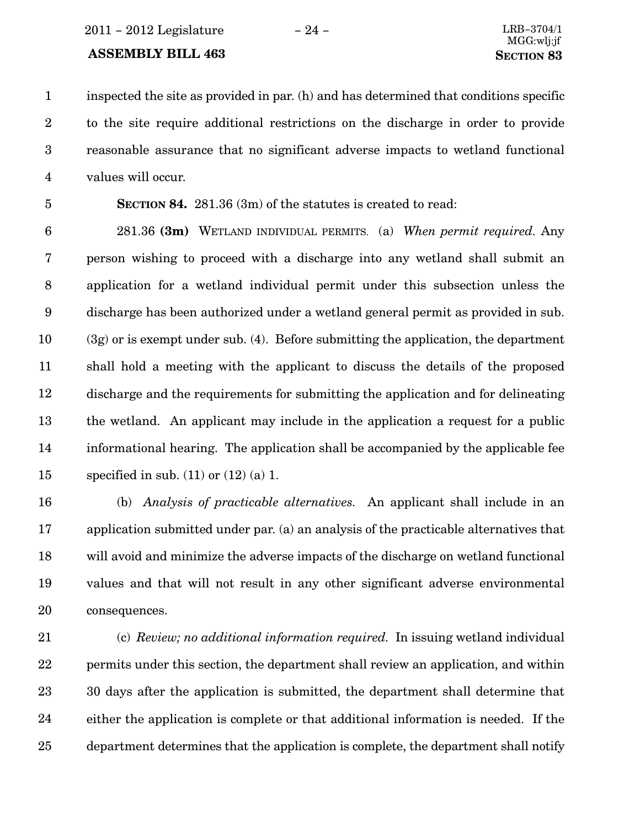2011 − 2012 Legislature − 24 − LRB−3704/1

#### ASSEMBLY BILL 463 SECTION 83

inspected the site as provided in par. (h) and has determined that conditions specific to the site require additional restrictions on the discharge in order to provide reasonable assurance that no significant adverse impacts to wetland functional values will occur. 1 2 3 4

5

SECTION 84. 281.36 (3m) of the statutes is created to read:

281.36 (3m) WETLAND INDIVIDUAL PERMITS. (a) When permit required. Any person wishing to proceed with a discharge into any wetland shall submit an application for a wetland individual permit under this subsection unless the discharge has been authorized under a wetland general permit as provided in sub. (3g) or is exempt under sub. (4). Before submitting the application, the department shall hold a meeting with the applicant to discuss the details of the proposed discharge and the requirements for submitting the application and for delineating the wetland. An applicant may include in the application a request for a public informational hearing. The application shall be accompanied by the applicable fee specified in sub.  $(11)$  or  $(12)$  (a) 1. 6 7 8 9 10 11 12 13 14 15

(b) Analysis of practicable alternatives. An applicant shall include in an application submitted under par. (a) an analysis of the practicable alternatives that will avoid and minimize the adverse impacts of the discharge on wetland functional values and that will not result in any other significant adverse environmental consequences. 16 17 18 19 20

(c) Review; no additional information required. In issuing wetland individual permits under this section, the department shall review an application, and within 30 days after the application is submitted, the department shall determine that either the application is complete or that additional information is needed. If the department determines that the application is complete, the department shall notify 21 22 23 24 25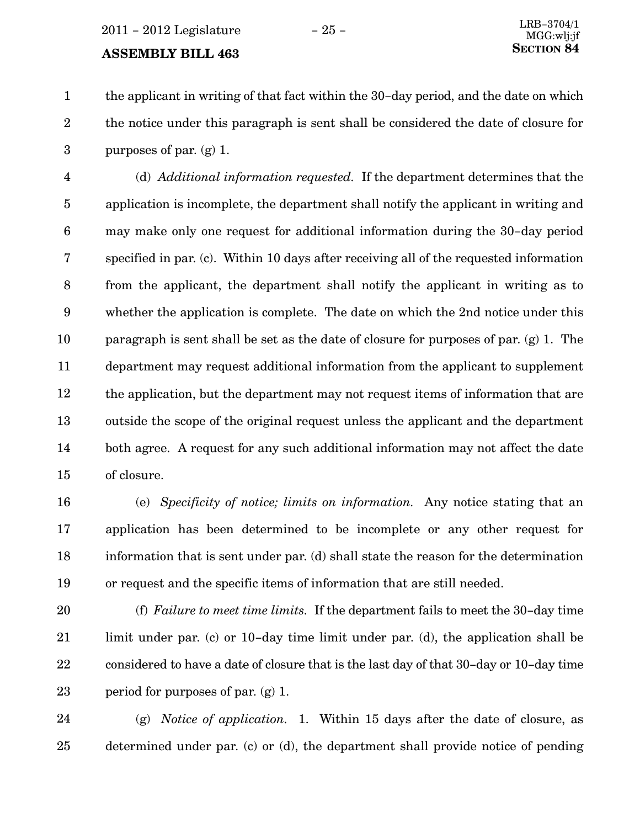$2011 - 2012$  Legislature  $-25 -$ 

#### **ASSEMBLY BILL 463**

the applicant in writing of that fact within the 30−day period, and the date on which the notice under this paragraph is sent shall be considered the date of closure for purposes of par. (g) 1. 1 2 3

(d) Additional information requested. If the department determines that the application is incomplete, the department shall notify the applicant in writing and may make only one request for additional information during the 30−day period specified in par. (c). Within 10 days after receiving all of the requested information from the applicant, the department shall notify the applicant in writing as to whether the application is complete. The date on which the 2nd notice under this paragraph is sent shall be set as the date of closure for purposes of par. (g) 1. The department may request additional information from the applicant to supplement the application, but the department may not request items of information that are outside the scope of the original request unless the applicant and the department both agree. A request for any such additional information may not affect the date of closure. 4 5 6 7 8 9 10 11 12 13 14 15

16

(e) Specificity of notice; limits on information. Any notice stating that an application has been determined to be incomplete or any other request for information that is sent under par. (d) shall state the reason for the determination or request and the specific items of information that are still needed. 17 18 19

(f) Failure to meet time limits. If the department fails to meet the 30−day time limit under par. (c) or 10−day time limit under par. (d), the application shall be considered to have a date of closure that is the last day of that 30−day or 10−day time period for purposes of par. (g) 1. 20 21 22 23

(g) Notice of application. 1. Within 15 days after the date of closure, as determined under par. (c) or (d), the department shall provide notice of pending 24 25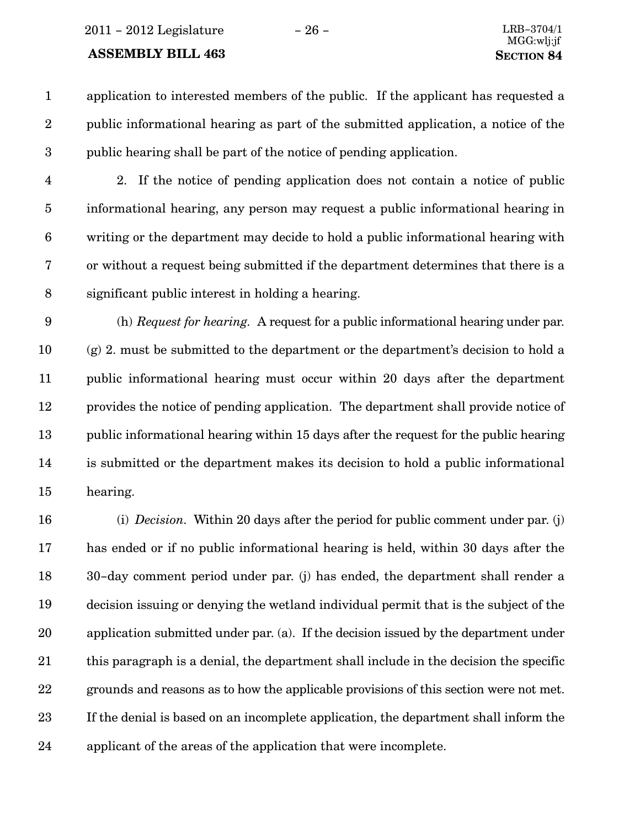#### ASSEMBLY BILL 463 SECTION 84

application to interested members of the public. If the applicant has requested a public informational hearing as part of the submitted application, a notice of the public hearing shall be part of the notice of pending application. 1 2 3

4

2. If the notice of pending application does not contain a notice of public informational hearing, any person may request a public informational hearing in writing or the department may decide to hold a public informational hearing with or without a request being submitted if the department determines that there is a significant public interest in holding a hearing. 5 6 7 8

(h) Request for hearing. A request for a public informational hearing under par. (g) 2. must be submitted to the department or the department's decision to hold a public informational hearing must occur within 20 days after the department provides the notice of pending application. The department shall provide notice of public informational hearing within 15 days after the request for the public hearing is submitted or the department makes its decision to hold a public informational hearing. 9 10 11 12 13 14 15

(i) Decision. Within 20 days after the period for public comment under par. (j) has ended or if no public informational hearing is held, within 30 days after the 30−day comment period under par. (j) has ended, the department shall render a decision issuing or denying the wetland individual permit that is the subject of the application submitted under par. (a). If the decision issued by the department under this paragraph is a denial, the department shall include in the decision the specific grounds and reasons as to how the applicable provisions of this section were not met. If the denial is based on an incomplete application, the department shall inform the applicant of the areas of the application that were incomplete. 16 17 18 19 20 21 22 23 24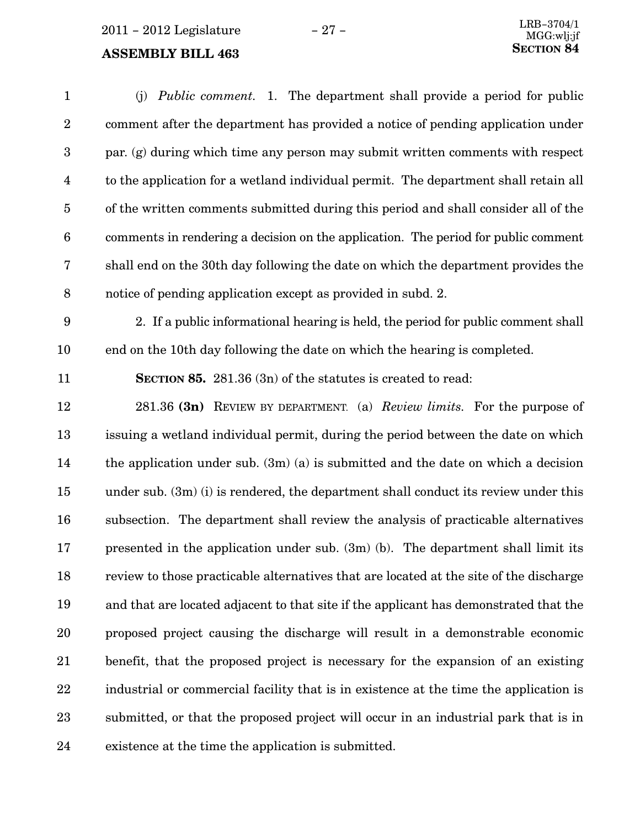(j) Public comment. 1. The department shall provide a period for public comment after the department has provided a notice of pending application under par. (g) during which time any person may submit written comments with respect to the application for a wetland individual permit. The department shall retain all of the written comments submitted during this period and shall consider all of the comments in rendering a decision on the application. The period for public comment shall end on the 30th day following the date on which the department provides the notice of pending application except as provided in subd. 2. 2. If a public informational hearing is held, the period for public comment shall end on the 10th day following the date on which the hearing is completed. SECTION 85. 281.36 (3n) of the statutes is created to read: 281.36 (3n) REVIEW BY DEPARTMENT. (a) Review limits. For the purpose of issuing a wetland individual permit, during the period between the date on which the application under sub.  $(3m)(a)$  is submitted and the date on which a decision under sub. (3m) (i) is rendered, the department shall conduct its review under this subsection. The department shall review the analysis of practicable alternatives presented in the application under sub. (3m) (b). The department shall limit its review to those practicable alternatives that are located at the site of the discharge and that are located adjacent to that site if the applicant has demonstrated that the proposed project causing the discharge will result in a demonstrable economic benefit, that the proposed project is necessary for the expansion of an existing industrial or commercial facility that is in existence at the time the application is submitted, or that the proposed project will occur in an industrial park that is in existence at the time the application is submitted. 1 2 3 4 5 6 7 8 9 10 11 12 13 14 15 16 17 18 19 20 21 22 23 24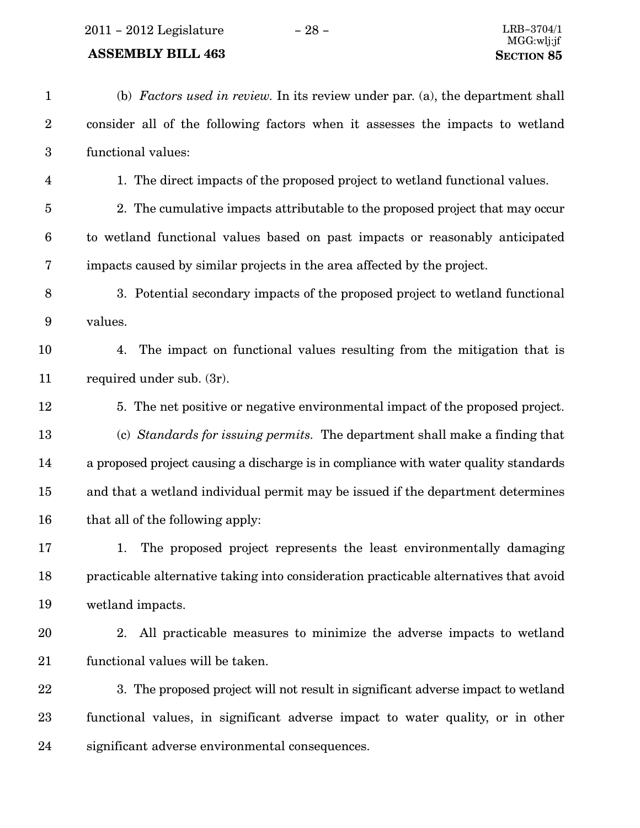### ASSEMBLY BILL  $463\,$

| $\mathbf{1}$     | (b) Factors used in review. In its review under par. (a), the department shall        |
|------------------|---------------------------------------------------------------------------------------|
| $\boldsymbol{2}$ | consider all of the following factors when it assesses the impacts to wetland         |
| $\boldsymbol{3}$ | functional values:                                                                    |
| 4                | 1. The direct impacts of the proposed project to wetland functional values.           |
| $\bf 5$          | 2. The cumulative impacts attributable to the proposed project that may occur         |
| $\boldsymbol{6}$ | to wetland functional values based on past impacts or reasonably anticipated          |
| 7                | impacts caused by similar projects in the area affected by the project.               |
| $\, 8$           | 3. Potential secondary impacts of the proposed project to wetland functional          |
| $\boldsymbol{9}$ | values.                                                                               |
| 10               | The impact on functional values resulting from the mitigation that is<br>4.           |
| 11               | required under sub. (3r).                                                             |
| 12               | 5. The net positive or negative environmental impact of the proposed project.         |
| 13               | (c) Standards for issuing permits. The department shall make a finding that           |
| 14               | a proposed project causing a discharge is in compliance with water quality standards  |
| 15               | and that a wetland individual permit may be issued if the department determines       |
| 16               | that all of the following apply:                                                      |
| 17               | The proposed project represents the least environmentally damaging<br>1.              |
| 18               | practicable alternative taking into consideration practicable alternatives that avoid |
| 19               | wetland impacts.                                                                      |
| 20               | All practicable measures to minimize the adverse impacts to wetland<br>2.             |
| 21               | functional values will be taken.                                                      |
| 22               | 3. The proposed project will not result in significant adverse impact to wetland      |
| 23               | functional values, in significant adverse impact to water quality, or in other        |
| 24               | significant adverse environmental consequences.                                       |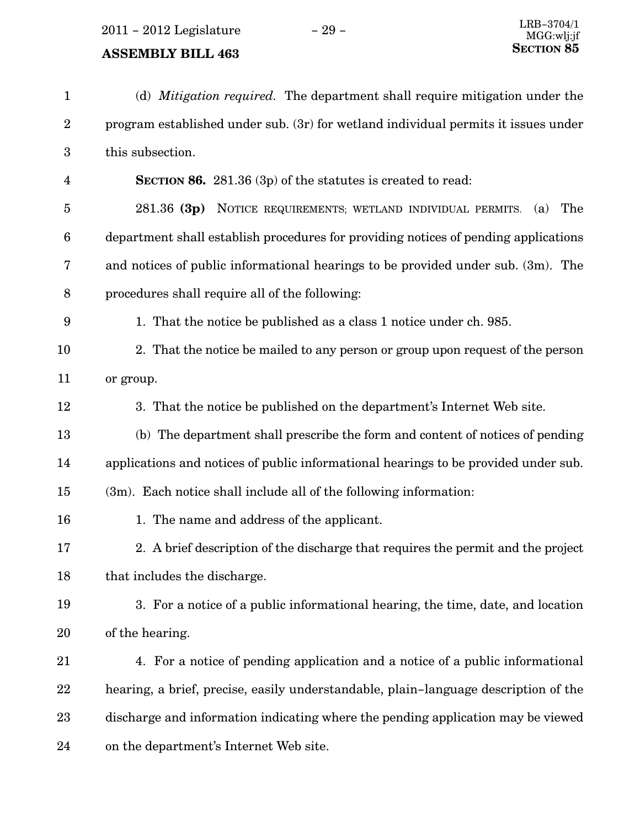2011 – 2012 Legislature − 29 –

| $\mathbf{1}$     | (d) <i>Mitigation required</i> . The department shall require mitigation under the  |
|------------------|-------------------------------------------------------------------------------------|
| $\boldsymbol{2}$ | program established under sub. (3r) for wetland individual permits it issues under  |
| $\boldsymbol{3}$ | this subsection.                                                                    |
| $\overline{4}$   | <b>SECTION 86.</b> 281.36 (3p) of the statutes is created to read:                  |
| $\overline{5}$   | 281.36 (3p) NOTICE REQUIREMENTS; WETLAND INDIVIDUAL PERMITS. (a)<br>The             |
| $\boldsymbol{6}$ | department shall establish procedures for providing notices of pending applications |
| 7                | and notices of public informational hearings to be provided under sub. (3m). The    |
| $8\,$            | procedures shall require all of the following:                                      |
| 9                | 1. That the notice be published as a class 1 notice under ch. 985.                  |
| 10               | 2. That the notice be mailed to any person or group upon request of the person      |
| 11               | or group.                                                                           |
| 12               | 3. That the notice be published on the department's Internet Web site.              |
| 13               | (b) The department shall prescribe the form and content of notices of pending       |
| 14               | applications and notices of public informational hearings to be provided under sub. |
| 15               | $(3m)$ . Each notice shall include all of the following information:                |
| 16               | 1. The name and address of the applicant.                                           |
| 17               | 2. A brief description of the discharge that requires the permit and the project    |
| 18               | that includes the discharge.                                                        |
| 19               | 3. For a notice of a public informational hearing, the time, date, and location     |
| 20               | of the hearing.                                                                     |
| 21               | 4. For a notice of pending application and a notice of a public informational       |
| 22               | hearing, a brief, precise, easily understandable, plain-language description of the |
| 23               | discharge and information indicating where the pending application may be viewed    |
| 24               | on the department's Internet Web site.                                              |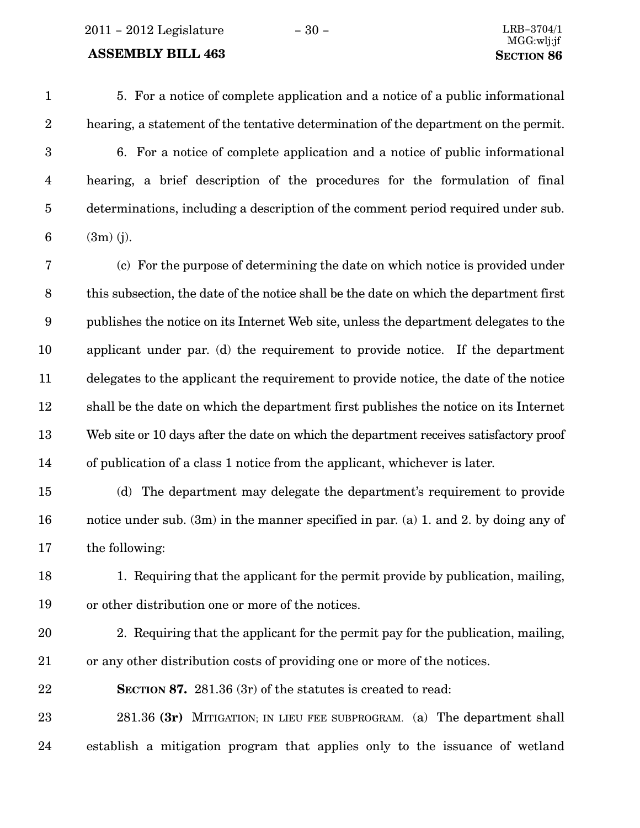2011 − 2012 Legislature − 30 − LRB−3704/1

#### ASSEMBLY BILL 463 SECTION 86

5. For a notice of complete application and a notice of a public informational hearing, a statement of the tentative determination of the department on the permit. 6. For a notice of complete application and a notice of public informational hearing, a brief description of the procedures for the formulation of final determinations, including a description of the comment period required under sub. (3m) (j). 1 2 3 4 5 6

(c) For the purpose of determining the date on which notice is provided under this subsection, the date of the notice shall be the date on which the department first publishes the notice on its Internet Web site, unless the department delegates to the applicant under par. (d) the requirement to provide notice. If the department delegates to the applicant the requirement to provide notice, the date of the notice shall be the date on which the department first publishes the notice on its Internet Web site or 10 days after the date on which the department receives satisfactory proof of publication of a class 1 notice from the applicant, whichever is later. 7 8 9 10 11 12 13 14

(d) The department may delegate the department's requirement to provide notice under sub. (3m) in the manner specified in par. (a) 1. and 2. by doing any of the following: 15 16 17

- 1. Requiring that the applicant for the permit provide by publication, mailing, or other distribution one or more of the notices. 18 19
- 20

21

2. Requiring that the applicant for the permit pay for the publication, mailing, or any other distribution costs of providing one or more of the notices.

SECTION 87. 281.36 (3r) of the statutes is created to read: 22

281.36 (3 $r$ ) MITIGATION; IN LIEU FEE SUBPROGRAM. (a) The department shall establish a mitigation program that applies only to the issuance of wetland 23 24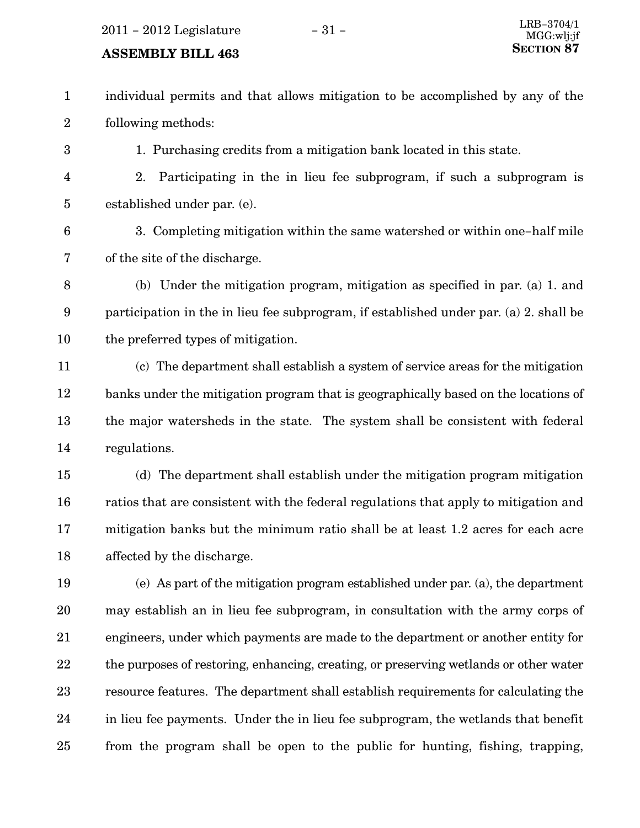2011 − 2012 Legislature − 31 − LRB−3704/1

#### **ASSEMBLY BILL 463**

individual permits and that allows mitigation to be accomplished by any of the following methods: 1 2

1. Purchasing credits from a mitigation bank located in this state.

- 2. Participating in the in lieu fee subprogram, if such a subprogram is established under par. (e). 4 5
- 6

3

3. Completing mitigation within the same watershed or within one−half mile of the site of the discharge. 7

- (b) Under the mitigation program, mitigation as specified in par. (a) 1. and participation in the in lieu fee subprogram, if established under par. (a) 2. shall be the preferred types of mitigation. 8 9 10
- (c) The department shall establish a system of service areas for the mitigation banks under the mitigation program that is geographically based on the locations of the major watersheds in the state. The system shall be consistent with federal regulations. 11 12 13 14
- (d) The department shall establish under the mitigation program mitigation ratios that are consistent with the federal regulations that apply to mitigation and mitigation banks but the minimum ratio shall be at least 1.2 acres for each acre affected by the discharge. 15 16 17 18
- (e) As part of the mitigation program established under par. (a), the department may establish an in lieu fee subprogram, in consultation with the army corps of engineers, under which payments are made to the department or another entity for the purposes of restoring, enhancing, creating, or preserving wetlands or other water resource features. The department shall establish requirements for calculating the in lieu fee payments. Under the in lieu fee subprogram, the wetlands that benefit from the program shall be open to the public for hunting, fishing, trapping, 19 20 21 22 23 24 25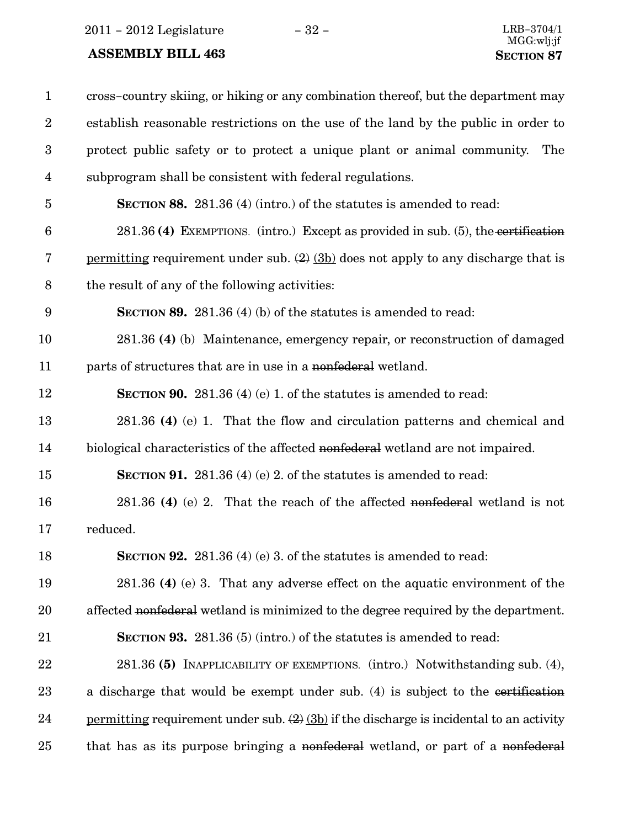2011 − 2012 Legislature − 32 − LRB−3704/1

| $\mathbf{1}$            | cross-country skiing, or hiking or any combination thereof, but the department may                  |
|-------------------------|-----------------------------------------------------------------------------------------------------|
| $\boldsymbol{2}$        | establish reasonable restrictions on the use of the land by the public in order to                  |
| $\boldsymbol{3}$        | protect public safety or to protect a unique plant or animal community.<br>The                      |
| $\overline{\mathbf{4}}$ | subprogram shall be consistent with federal regulations.                                            |
| $\overline{5}$          | <b>SECTION 88.</b> 281.36 (4) (intro.) of the statutes is amended to read:                          |
| $6\phantom{.}6$         | $281.36$ (4) EXEMPTIONS. (intro.) Except as provided in sub. (5), the certification                 |
| 7                       | <u>permitting</u> requirement under sub. $(2)$ $(3b)$ does not apply to any discharge that is       |
| $8\,$                   | the result of any of the following activities:                                                      |
| 9                       | <b>SECTION 89.</b> 281.36 (4) (b) of the statutes is amended to read:                               |
| 10                      | 281.36 (4) (b) Maintenance, emergency repair, or reconstruction of damaged                          |
| 11                      | parts of structures that are in use in a nonfederal wetland.                                        |
| 12                      | <b>SECTION 90.</b> 281.36 (4) (e) 1. of the statutes is amended to read:                            |
| 13                      | 281.36 (4) (e) 1. That the flow and circulation patterns and chemical and                           |
| 14                      | biological characteristics of the affected nonfederal wetland are not impaired.                     |
| 15                      | <b>SECTION 91.</b> 281.36 (4) (e) 2. of the statutes is amended to read:                            |
| 16                      | $281.36$ (4) (e) 2. That the reach of the affected nonfederal wetland is not                        |
| 17                      | reduced.                                                                                            |
| 18                      | SECTION 92. 281.36 (4) (e) 3. of the statutes is amended to read:                                   |
| 19                      | 281.36 (4) (e) 3. That any adverse effect on the aquatic environment of the                         |
| 20                      | affected nonfederal wetland is minimized to the degree required by the department.                  |
| 21                      | <b>SECTION 93.</b> 281.36 (5) (intro.) of the statutes is amended to read:                          |
| 22                      | 281.36 (5) INAPPLICABILITY OF EXEMPTIONS. (intro.) Notwithstanding sub. (4),                        |
| 23                      | a discharge that would be exempt under sub. (4) is subject to the coertification                    |
| 24                      | <u>permitting</u> requirement under sub. $(2)$ $(3b)$ if the discharge is incidental to an activity |
| 25                      | that has as its purpose bringing a nonfederal wetland, or part of a nonfederal                      |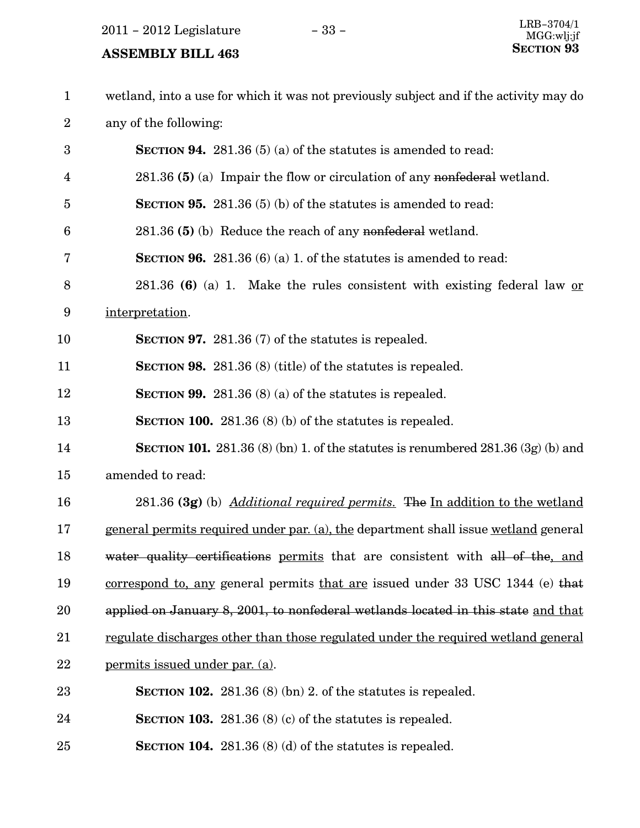2011 – 2012 Legislature − 33 –

| $\mathbf{1}$   | wetland, into a use for which it was not previously subject and if the activity may do   |
|----------------|------------------------------------------------------------------------------------------|
| $\overline{2}$ | any of the following:                                                                    |
| 3              | <b>SECTION 94.</b> 281.36 (5) (a) of the statutes is amended to read:                    |
| 4              | $281.36$ (5) (a) Impair the flow or circulation of any nonfederal wetland.               |
| 5              | <b>SECTION 95.</b> 281.36 $(5)$ (b) of the statutes is amended to read:                  |
| 6              | 281.36 (5) (b) Reduce the reach of any nonfederal wetland.                               |
| 7              | <b>SECTION 96.</b> 281.36 (6) (a) 1. of the statutes is amended to read:                 |
| 8              | 281.36 (6) (a) 1. Make the rules consistent with existing federal law or                 |
| 9              | interpretation.                                                                          |
| 10             | <b>SECTION 97.</b> 281.36 (7) of the statutes is repealed.                               |
| 11             | SECTION 98. 281.36 (8) (title) of the statutes is repealed.                              |
| 12             | <b>SECTION 99.</b> 281.36 (8) (a) of the statutes is repealed.                           |
| 13             | SECTION 100. 281.36 $(8)$ (b) of the statutes is repealed.                               |
| 14             | <b>SECTION 101.</b> 281.36 (8) (bn) 1. of the statutes is renumbered 281.36 (3g) (b) and |
| 15             | amended to read:                                                                         |
| 16             | 281.36 (3g) (b) <i>Additional required permits</i> . The In addition to the wetland      |
| 17             | general permits required under par. (a), the department shall issue wetland general      |
| 18             | water quality certifications permits that are consistent with all of the, and            |
| 19             | correspond to, any general permits that are issued under 33 USC 1344 (e) that            |
| 20             | applied on January 8, 2001, to nonfederal wetlands located in this state and that        |
| 21             | regulate discharges other than those regulated under the required wetland general        |
| 22             | permits issued under par. (a).                                                           |
| 23             | <b>SECTION 102.</b> 281.36 (8) (bn) 2. of the statures is repealed.                      |
| 24             | <b>SECTION 103.</b> 281.36 (8) (c) of the statures is repealed.                          |
| 25             | SECTION 104. $281.36(8)(d)$ of the statutes is repealed.                                 |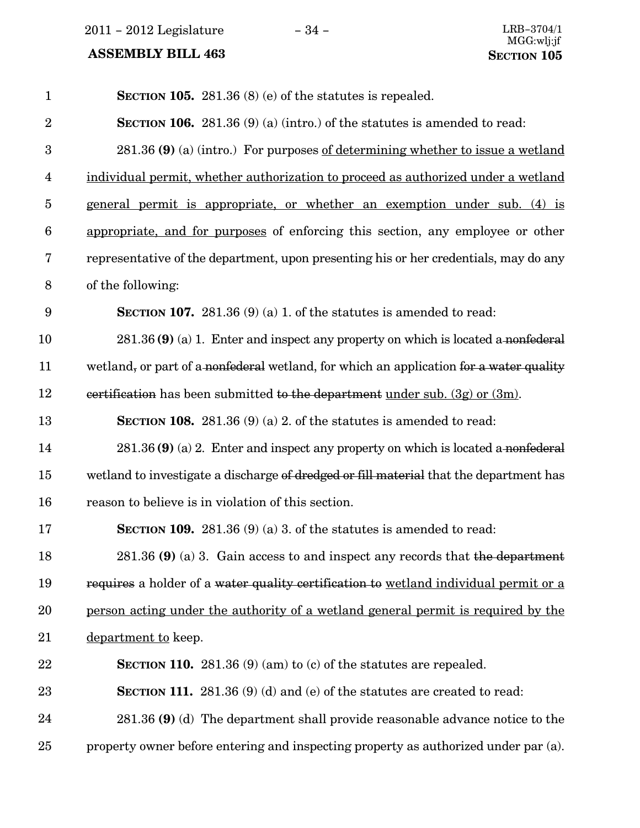2011 − 2012 Legislature − 34 − LRB−3704/1

| $\mathbf{1}$     | SECTION 105. 281.36 $(8)$ (e) of the statutes is repealed.                             |
|------------------|----------------------------------------------------------------------------------------|
| $\overline{2}$   | <b>SECTION 106.</b> 281.36 (9) (a) (intro.) of the statutes is amended to read:        |
| 3                | 281.36 (9) (a) (intro.) For purposes of determining whether to issue a wetland         |
| $\overline{4}$   | individual permit, whether authorization to proceed as authorized under a wetland      |
| $\overline{5}$   | general permit is appropriate, or whether an exemption under sub. (4) is               |
| $\boldsymbol{6}$ | appropriate, and for purposes of enforcing this section, any employee or other         |
| 7                | representative of the department, upon presenting his or her credentials, may do any   |
| $8\,$            | of the following:                                                                      |
| 9                | <b>SECTION 107.</b> 281.36 (9) (a) 1. of the statutes is amended to read:              |
| 10               | $281.36$ (9) (a) 1. Enter and inspect any property on which is located a nonfederal    |
| 11               | wetland, or part of a nonfederal wetland, for which an application for a water quality |
| 12               | certification has been submitted to the department under sub. $(3g)$ or $(3m)$ .       |
| 13               | <b>SECTION 108.</b> 281.36 (9) (a) 2. of the statutes is amended to read:              |
| 14               | $281.36$ (9) (a) 2. Enter and inspect any property on which is located a nonfederal    |
| 15               | wetland to investigate a discharge of dredged or fill material that the department has |
| 16               | reason to believe is in violation of this section.                                     |
| 17               | <b>SECTION 109.</b> 281.36 (9) (a) 3. of the statutes is amended to read:              |
| 18               | 281.36 (9) (a) 3. Gain access to and inspect any records that the department           |
| 19               | requires a holder of a water quality certification to wetland individual permit or a   |
| 20               | person acting under the authority of a wetland general permit is required by the       |
| 21               | department to keep.                                                                    |
| 22               | <b>SECTION 110.</b> 281.36 (9) (am) to (c) of the statutes are repealed.               |
| 23               | <b>SECTION 111.</b> 281.36 (9) (d) and (e) of the statutes are created to read:        |
| 24               | 281.36 (9) (d) The department shall provide reasonable advance notice to the           |
| 25               | property owner before entering and inspecting property as authorized under par (a).    |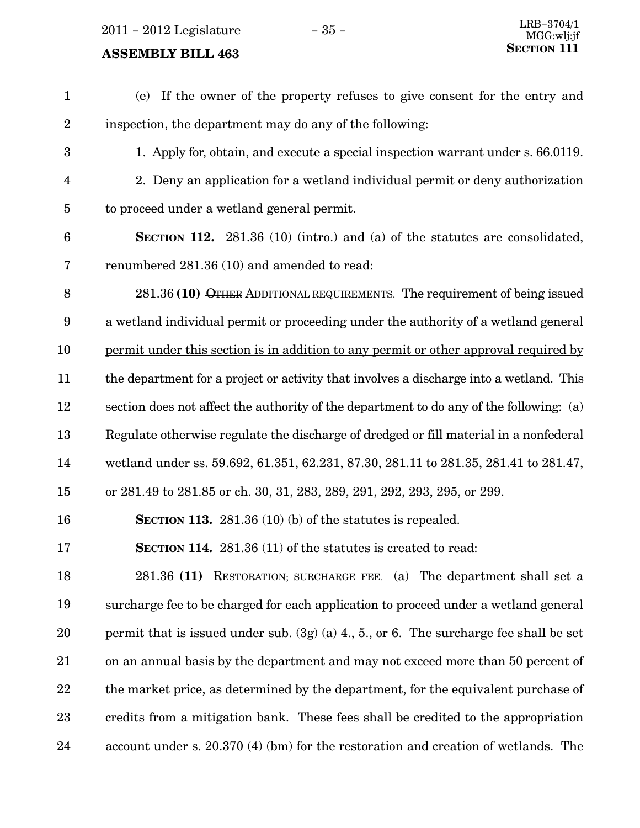$2011 - 2012$  Legislature  $-35 -$ 

#### **ASSEMBLY BILL 463**

(e) If the owner of the property refuses to give consent for the entry and inspection, the department may do any of the following: 1. Apply for, obtain, and execute a special inspection warrant under s. 66.0119. 2. Deny an application for a wetland individual permit or deny authorization to proceed under a wetland general permit. SECTION 112. 281.36 (10) (intro.) and (a) of the statutes are consolidated, renumbered 281.36 (10) and amended to read: 281.36 (10) OTHER ADDITIONAL REQUIREMENTS. The requirement of being issued a wetland individual permit or proceeding under the authority of a wetland general permit under this section is in addition to any permit or other approval required by the department for a project or activity that involves a discharge into a wetland. This section does not affect the authority of the department to  $\phi$  any of the following: (a) Regulate otherwise regulate the discharge of dredged or fill material in a nonfederal wetland under ss. 59.692, 61.351, 62.231, 87.30, 281.11 to 281.35, 281.41 to 281.47, or 281.49 to 281.85 or ch. 30, 31, 283, 289, 291, 292, 293, 295, or 299. SECTION 113. 281.36 (10) (b) of the statutes is repealed. SECTION 114. 281.36 (11) of the statutes is created to read: 281.36 (11) RESTORATION; SURCHARGE FEE. (a) The department shall set a surcharge fee to be charged for each application to proceed under a wetland general permit that is issued under sub. (3g) (a) 4., 5., or 6. The surcharge fee shall be set on an annual basis by the department and may not exceed more than 50 percent of the market price, as determined by the department, for the equivalent purchase of credits from a mitigation bank. These fees shall be credited to the appropriation account under s. 20.370 (4) (bm) for the restoration and creation of wetlands. The 1 2 3 4 5 6 7 8 9 10 11 12 13 14 15 16 17 18 19 20 21 22 23 24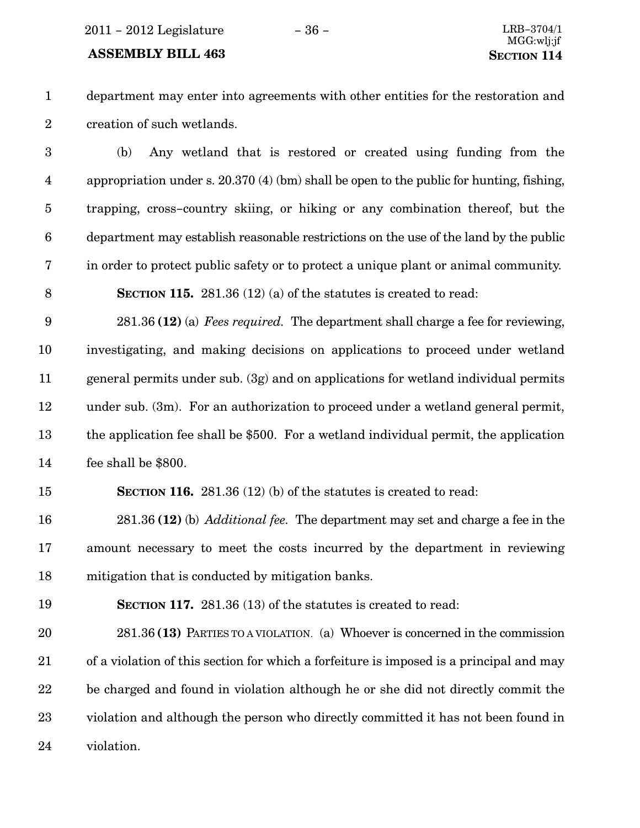#### ASSEMBLY BILL 463 SECTION 114

1 2

department may enter into agreements with other entities for the restoration and creation of such wetlands.

(b) Any wetland that is restored or created using funding from the appropriation under s. 20.370 (4) (bm) shall be open to the public for hunting, fishing, trapping, cross−country skiing, or hiking or any combination thereof, but the department may establish reasonable restrictions on the use of the land by the public in order to protect public safety or to protect a unique plant or animal community. 3 4 5 6 7

SECTION 115. 281.36 (12) (a) of the statutes is created to read: 8

281.36 (12) (a) Fees required. The department shall charge a fee for reviewing, investigating, and making decisions on applications to proceed under wetland general permits under sub. (3g) and on applications for wetland individual permits under sub. (3m). For an authorization to proceed under a wetland general permit, the application fee shall be \$500. For a wetland individual permit, the application fee shall be \$800. 9 10 11 12 13 14

#### 15

SECTION 116. 281.36 (12) (b) of the statutes is created to read:

281.36 (12) (b) *Additional fee.* The department may set and charge a fee in the amount necessary to meet the costs incurred by the department in reviewing mitigation that is conducted by mitigation banks. 16 17 18

19

SECTION 117. 281.36 (13) of the statutes is created to read:

281.36 (13) PARTIES TO A VIOLATION. (a) Whoever is concerned in the commission of a violation of this section for which a forfeiture is imposed is a principal and may be charged and found in violation although he or she did not directly commit the violation and although the person who directly committed it has not been found in violation. 20 21 22 23 24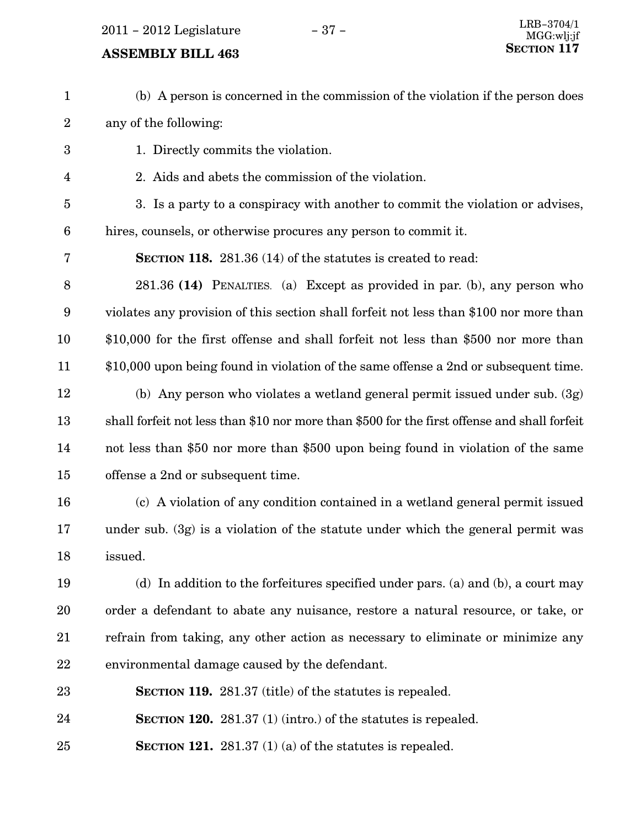2011 − 2012 Legislature − 37 − LRB−3704/1

# **SECTION 117** ASSEMBLY BILL 463

(b) A person is concerned in the commission of the violation if the person does any of the following: 1. Directly commits the violation. 2. Aids and abets the commission of the violation. 3. Is a party to a conspiracy with another to commit the violation or advises, hires, counsels, or otherwise procures any person to commit it. SECTION 118. 281.36 (14) of the statutes is created to read: 281.36 (14) PENALTIES. (a) Except as provided in par. (b), any person who violates any provision of this section shall forfeit not less than \$100 nor more than \$10,000 for the first offense and shall forfeit not less than \$500 nor more than \$10,000 upon being found in violation of the same offense a 2nd or subsequent time. (b) Any person who violates a wetland general permit issued under sub. (3g) shall forfeit not less than \$10 nor more than \$500 for the first offense and shall forfeit not less than \$50 nor more than \$500 upon being found in violation of the same offense a 2nd or subsequent time. (c) A violation of any condition contained in a wetland general permit issued under sub. (3g) is a violation of the statute under which the general permit was issued. (d) In addition to the forfeitures specified under pars. (a) and (b), a court may order a defendant to abate any nuisance, restore a natural resource, or take, or refrain from taking, any other action as necessary to eliminate or minimize any environmental damage caused by the defendant. SECTION 119. 281.37 (title) of the statutes is repealed. SECTION 120. 281.37 (1) (intro.) of the statutes is repealed. SECTION 121. 281.37 (1) (a) of the statutes is repealed. 1 2 3 4 5 6 7 8 9 10 11 12 13 14 15 16 17 18 19 20 21 22 23 24 25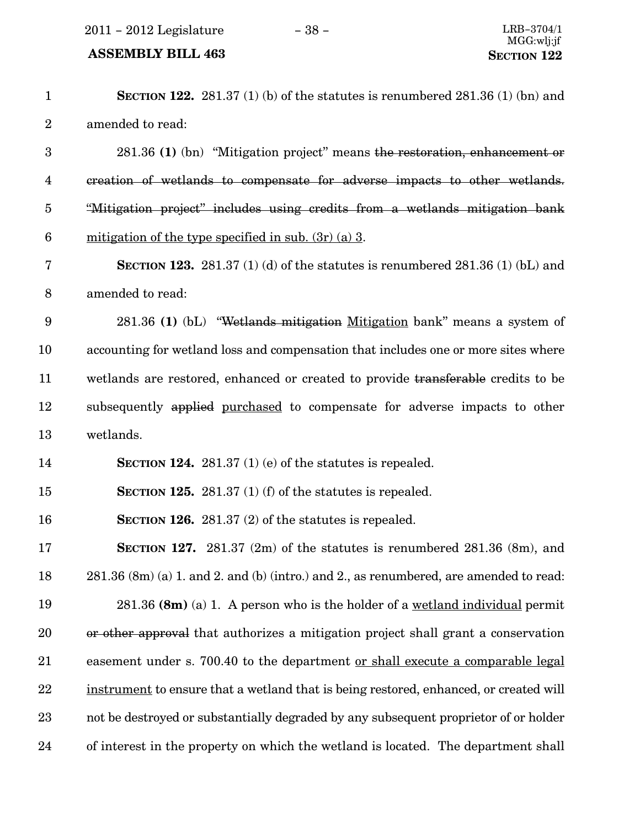2011 – 2012 Legislature − 38 − LRB−3704/1

| $\mathbf{1}$            | <b>SECTION 122.</b> 281.37 (1) (b) of the statutes is renumbered 281.36 (1) (bn) and   |
|-------------------------|----------------------------------------------------------------------------------------|
| $\overline{2}$          | amended to read:                                                                       |
| $\boldsymbol{3}$        | 281.36 (1) (bn) "Mitigation project" means the restoration, enhancement or             |
| $\overline{\mathbf{4}}$ | creation of wetlands to compensate for adverse impacts to other wetlands.              |
| $\overline{5}$          | "Mitigation project" includes using credits from a wetlands mitigation bank            |
| $\boldsymbol{6}$        | mitigation of the type specified in sub. $(3r)$ (a) 3.                                 |
| $\bf 7$                 | <b>SECTION 123.</b> 281.37 (1) (d) of the statutes is renumbered 281.36 (1) (bL) and   |
| $8\,$                   | amended to read:                                                                       |
| $\boldsymbol{9}$        | 281.36 (1) (bL) "Wetlands mitigation Mitigation bank" means a system of                |
| 10                      | accounting for wetland loss and compensation that includes one or more sites where     |
| 11                      | wetlands are restored, enhanced or created to provide transferable credits to be       |
| 12                      | subsequently applied purchased to compensate for adverse impacts to other              |
| 13                      | wetlands.                                                                              |
| 14                      | <b>SECTION 124.</b> 281.37 (1) (e) of the statures is repealed.                        |
| 15                      | SECTION 125. 281.37 $(1)$ (f) of the statutes is repealed.                             |
| 16                      | SECTION 126. $281.37(2)$ of the statutes is repealed.                                  |
| 17                      | <b>SECTION 127.</b> 281.37 (2m) of the statutes is renumbered 281.36 (8m), and         |
| 18                      | 281.36 (8m) (a) 1. and 2. and (b) (intro.) and 2., as renumbered, are amended to read: |
| 19                      | $281.36$ (8m) (a) 1. A person who is the holder of a <u>wetland individual</u> permit  |
| 20                      | or other approval that authorizes a mitigation project shall grant a conservation      |
| 21                      | easement under s. 700.40 to the department <u>or shall execute a comparable legal</u>  |
| 22                      | instrument to ensure that a wetland that is being restored, enhanced, or created will  |
| 23                      | not be destroyed or substantially degraded by any subsequent proprietor of or holder   |
| 24                      | of interest in the property on which the wetland is located. The department shall      |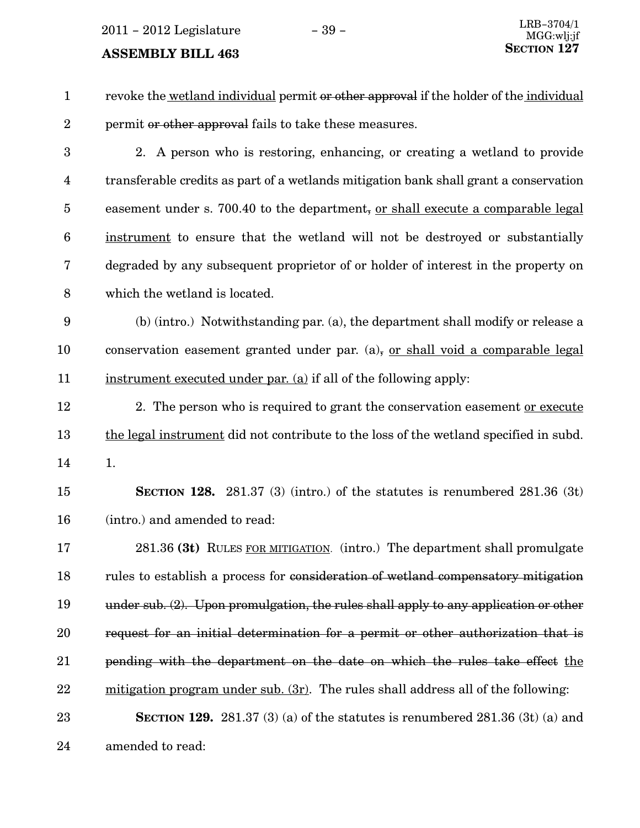2011 – 2012 Legislature − 39 –

| $\mathbf{1}$            | revoke the wetland individual permit or other approval if the holder of the individual  |
|-------------------------|-----------------------------------------------------------------------------------------|
| $\boldsymbol{2}$        | permit or other approval fails to take these measures.                                  |
| $\boldsymbol{3}$        | 2. A person who is restoring, enhancing, or creating a wetland to provide               |
| $\overline{\mathbf{4}}$ | transferable credits as part of a wetlands mitigation bank shall grant a conservation   |
| $\overline{5}$          | easement under s. 700.40 to the department, or shall execute a comparable legal         |
| 6                       | instrument to ensure that the wetland will not be destroyed or substantially            |
| 7                       | degraded by any subsequent proprietor of or holder of interest in the property on       |
| 8                       | which the wetland is located.                                                           |
| 9                       | (b) (intro.) Notwithstanding par. (a), the department shall modify or release a         |
| 10                      | conservation easement granted under par. $(a)$ , or shall void a comparable legal       |
| 11                      | instrument executed under par. (a) if all of the following apply:                       |
| 12                      | 2. The person who is required to grant the conservation easement or execute             |
| 13                      | the legal instrument did not contribute to the loss of the wetland specified in subd.   |
| 14                      | 1.                                                                                      |
| 15                      | <b>SECTION 128.</b> 281.37 (3) (intro.) of the statutes is renumbered $281.36$ (3t)     |
| 16                      | (intro.) and amended to read:                                                           |
| 17                      | 281.36 (3t) RULES FOR MITIGATION. (intro.) The department shall promulgate              |
| 18                      | rules to establish a process for consideration of wetland compensatory mitigation       |
| 19                      | under sub. $(2)$ . Upon promulgation, the rules shall apply to any application or other |
| 20                      | request for an initial determination for a permit or other authorization that is        |
| 21                      | pending with the department on the date on which the rules take effect the              |
| 22                      | $mitigation program under sub. (3r)$ . The rules shall address all of the following:    |
| 23                      | SECTION 129. $281.37(3)(a)$ of the statutes is renumbered $281.36(3t)(a)$ and           |
| 24                      | amended to read:                                                                        |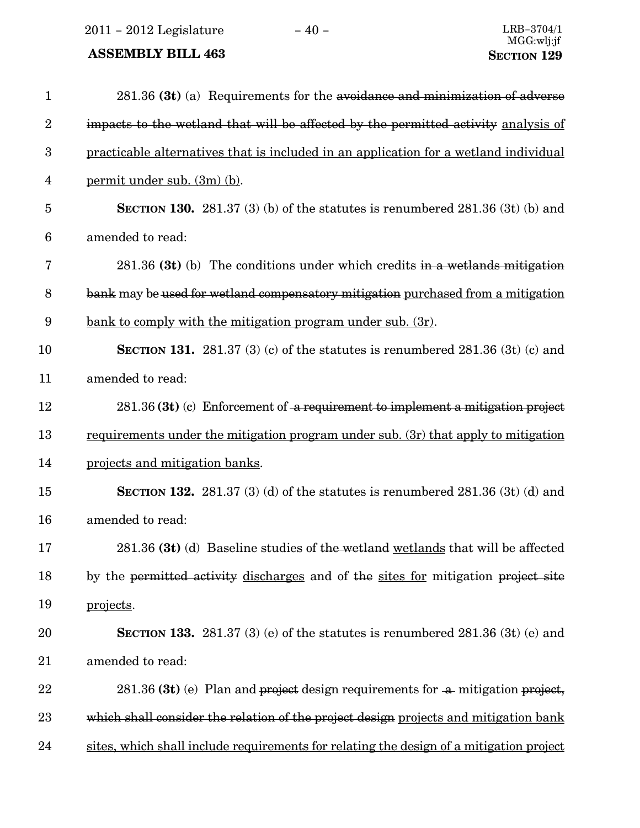2011 – 2012 Legislature − 40 − LRB−3704/1

| $\mathbf{1}$            | 281.36 (3t) (a) Requirements for the avoidance and minimization of adverse              |
|-------------------------|-----------------------------------------------------------------------------------------|
| $\overline{2}$          | impacts to the wetland that will be affected by the permitted activity analysis of      |
| 3                       | practicable alternatives that is included in an application for a wetland individual    |
| $\overline{\mathbf{4}}$ | <u>permit under sub. (3m) (b)</u> .                                                     |
| $\overline{5}$          | <b>SECTION 130.</b> 281.37 (3) (b) of the statutes is renumbered $281.36$ (3t) (b) and  |
| 6                       | amended to read:                                                                        |
| 7                       | $281.36$ (3t) (b) The conditions under which credits in a wetlands mitigation           |
| 8                       | bank may be used for wetland compensatory mitigation purchased from a mitigation        |
| 9                       | <u>bank to comply with the mitigation program under sub. (3r).</u>                      |
| 10                      | <b>SECTION 131.</b> 281.37 (3) (c) of the statutes is renumbered 281.36 (3t) (c) and    |
| 11                      | amended to read:                                                                        |
| 12                      | $281.36$ (3t) (c) Enforcement of a requirement to implement a mitigation project        |
| 13                      | requirements under the mitigation program under sub. (3r) that apply to mitigation      |
| 14                      | projects and mitigation banks.                                                          |
| 15                      | <b>SECTION 132.</b> 281.37 (3) (d) of the statutes is renumbered $281.36$ (3t) (d) and  |
| 16                      | amended to read:                                                                        |
| 17                      | 281.36 (3t) (d) Baseline studies of the wetland wetlands that will be affected          |
| 18                      | by the permitted activity discharges and of the sites for mitigation project site       |
| 19                      | projects.                                                                               |
| 20                      | SECTION 133. 281.37 (3) (e) of the statutes is renumbered $281.36$ (3t) (e) and         |
| 21                      | amended to read:                                                                        |
| 22                      | 281.36 (3t) (e) Plan and project design requirements for a mitigation project,          |
| 23                      | which shall consider the relation of the project design projects and mitigation bank    |
| 24                      | sites, which shall include requirements for relating the design of a mitigation project |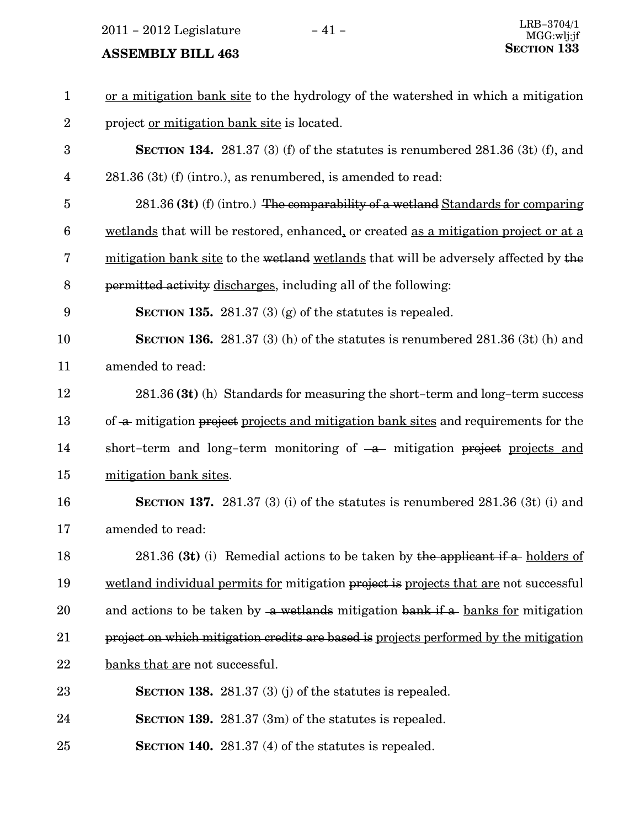2011 – 2012 Legislature − 41 –

| $\mathbf{1}$     | or a mitigation bank site to the hydrology of the watershed in which a mitigation     |
|------------------|---------------------------------------------------------------------------------------|
| $\boldsymbol{2}$ | project <u>or mitigation bank site</u> is located.                                    |
| 3                | SECTION 134. 281.37 (3) (f) of the statutes is renumbered $281.36$ (3t) (f), and      |
| $\overline{4}$   | $281.36$ (3t) (f) (intro.), as renumbered, is amended to read:                        |
| $\overline{5}$   | 281.36 (3t) (f) (intro.) The comparability of a wetland Standards for comparing       |
| $6\phantom{1}6$  | wetlands that will be restored, enhanced, or created as a mitigation project or at a  |
| 7                | mitigation bank site to the wetland wetlands that will be adversely affected by the   |
| 8                | permitted activity discharges, including all of the following:                        |
| 9                | <b>SECTION 135.</b> 281.37 (3) (g) of the statures is repealed.                       |
| 10               | <b>SECTION 136.</b> 281.37 (3) (h) of the statutes is renumbered 281.36 (3t) (h) and  |
| 11               | amended to read:                                                                      |
| 12               | 281.36 (3t) (h) Standards for measuring the short-term and long-term success          |
| 13               | of a mitigation project projects and mitigation bank sites and requirements for the   |
| 14               | short-term and long-term monitoring of $-a$ mitigation project projects and           |
| 15               | mitigation bank sites.                                                                |
| 16               | <b>SECTION 137.</b> 281.37 (3) (i) of the statutes is renumbered 281.36 (3t) (i) and  |
| 17               | amended to read:                                                                      |
| 18               | 281.36 (3t) (i) Remedial actions to be taken by the applicant if a holders of         |
| 19               | wetland individual permits for mitigation project is projects that are not successful |
| 20               | and actions to be taken by a wetlands mitigation bank if a banks for mitigation       |
| 21               | project on which mitigation credits are based is projects performed by the mitigation |
| 22               | banks that are not successful.                                                        |
| 23               | <b>SECTION 138.</b> 281.37 (3) (j) of the statures is repealed.                       |
| 24               | <b>SECTION 139.</b> 281.37 $(3m)$ of the statutes is repealed.                        |
| 25               | SECTION 140. $281.37(4)$ of the statutes is repealed.                                 |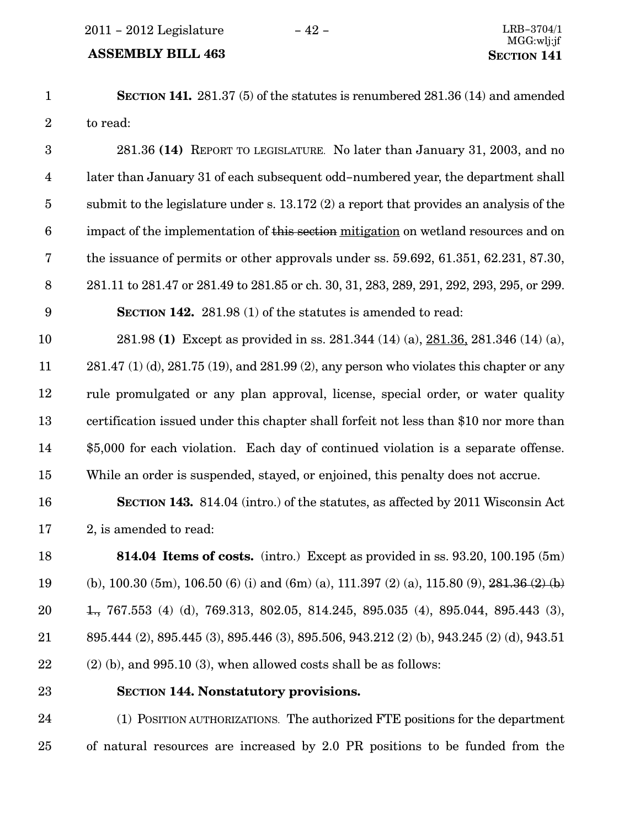#### ASSEMBLY BILL 463 SECTION 141

SECTION 141. 281.37 (5) of the statutes is renumbered 281.36 (14) and amended to read: 1 2

281.36 (14) REPORT TO LEGISLATURE. No later than January 31, 2003, and no later than January 31 of each subsequent odd−numbered year, the department shall submit to the legislature under s. 13.172 (2) a report that provides an analysis of the impact of the implementation of this section mitigation on wetland resources and on the issuance of permits or other approvals under ss. 59.692, 61.351, 62.231, 87.30, 281.11 to 281.47 or 281.49 to 281.85 or ch. 30, 31, 283, 289, 291, 292, 293, 295, or 299. SECTION 142. 281.98 (1) of the statutes is amended to read: 3 4 5 6 7 8 9

281.98 (1) Except as provided in ss. 281.344 (14) (a), 281.36, 281.346 (14) (a), 281.47 (1) (d), 281.75 (19), and 281.99 (2), any person who violates this chapter or any rule promulgated or any plan approval, license, special order, or water quality certification issued under this chapter shall forfeit not less than \$10 nor more than \$5,000 for each violation. Each day of continued violation is a separate offense. While an order is suspended, stayed, or enjoined, this penalty does not accrue. 10 11 12 13 14 15

16

SECTION 143. 814.04 (intro.) of the statutes, as affected by 2011 Wisconsin Act 2, is amended to read: 17

814.04 Items of costs. (intro.) Except as provided in ss. 93.20, 100.195 (5m) (b), 100.30 (5m), 106.50 (6) (i) and (6m) (a), 111.397 (2) (a), 115.80 (9),  $281.36(2)$  (b) 1., 767.553 (4) (d), 769.313, 802.05, 814.245, 895.035 (4), 895.044, 895.443 (3), 895.444 (2), 895.445 (3), 895.446 (3), 895.506, 943.212 (2) (b), 943.245 (2) (d), 943.51  $(2)$  (b), and 995.10 (3), when allowed costs shall be as follows: 18 19 20 21 22

23

#### SECTION 144. Nonstatutory provisions.

(1) POSITION AUTHORIZATIONS. The authorized FTE positions for the department of natural resources are increased by 2.0 PR positions to be funded from the 24 25